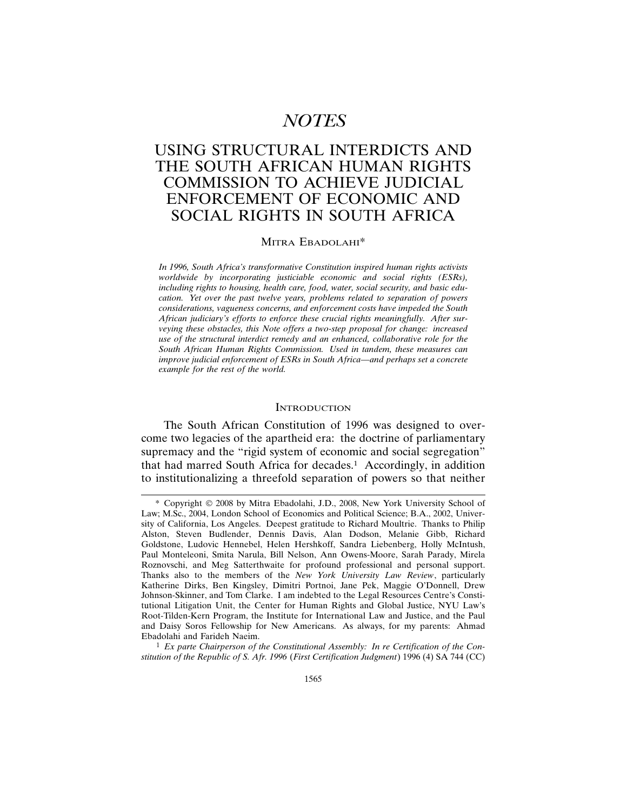# *NOTES*

# USING STRUCTURAL INTERDICTS AND THE SOUTH AFRICAN HUMAN RIGHTS COMMISSION TO ACHIEVE JUDICIAL ENFORCEMENT OF ECONOMIC AND SOCIAL RIGHTS IN SOUTH AFRICA

#### MITRA EBADOLAHI\*

*In 1996, South Africa's transformative Constitution inspired human rights activists worldwide by incorporating justiciable economic and social rights (ESRs), including rights to housing, health care, food, water, social security, and basic education. Yet over the past twelve years, problems related to separation of powers considerations, vagueness concerns, and enforcement costs have impeded the South African judiciary's efforts to enforce these crucial rights meaningfully. After surveying these obstacles, this Note offers a two-step proposal for change: increased use of the structural interdict remedy and an enhanced, collaborative role for the South African Human Rights Commission. Used in tandem, these measures can improve judicial enforcement of ESRs in South Africa—and perhaps set a concrete example for the rest of the world.*

#### **INTRODUCTION**

The South African Constitution of 1996 was designed to overcome two legacies of the apartheid era: the doctrine of parliamentary supremacy and the "rigid system of economic and social segregation" that had marred South Africa for decades.1 Accordingly, in addition to institutionalizing a threefold separation of powers so that neither

<sup>\*</sup> Copyright © 2008 by Mitra Ebadolahi, J.D., 2008, New York University School of Law; M.Sc., 2004, London School of Economics and Political Science; B.A., 2002, University of California, Los Angeles. Deepest gratitude to Richard Moultrie. Thanks to Philip Alston, Steven Budlender, Dennis Davis, Alan Dodson, Melanie Gibb, Richard Goldstone, Ludovic Hennebel, Helen Hershkoff, Sandra Liebenberg, Holly McIntush, Paul Monteleoni, Smita Narula, Bill Nelson, Ann Owens-Moore, Sarah Parady, Mirela Roznovschi, and Meg Satterthwaite for profound professional and personal support. Thanks also to the members of the *New York University Law Review*, particularly Katherine Dirks, Ben Kingsley, Dimitri Portnoi, Jane Pek, Maggie O'Donnell, Drew Johnson-Skinner, and Tom Clarke. I am indebted to the Legal Resources Centre's Constitutional Litigation Unit, the Center for Human Rights and Global Justice, NYU Law's Root-Tilden-Kern Program, the Institute for International Law and Justice, and the Paul and Daisy Soros Fellowship for New Americans. As always, for my parents: Ahmad Ebadolahi and Farideh Naeim.

<sup>1</sup> *Ex parte Chairperson of the Constitutional Assembly: In re Certification of the Constitution of the Republic of S. Afr. 1996* (*First Certification Judgment*) 1996 (4) SA 744 (CC)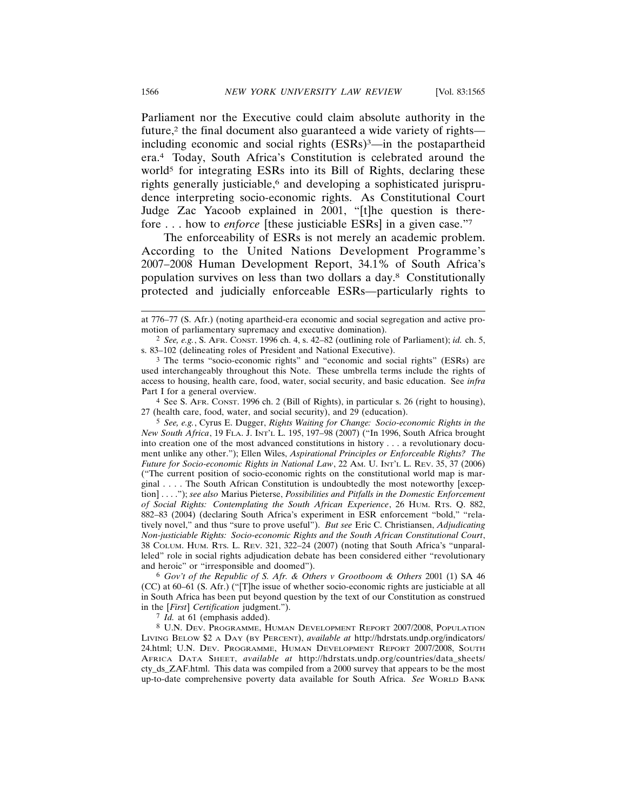Parliament nor the Executive could claim absolute authority in the future,<sup>2</sup> the final document also guaranteed a wide variety of rights including economic and social rights (ESRs)3—in the postapartheid era.4 Today, South Africa's Constitution is celebrated around the world<sup>5</sup> for integrating ESRs into its Bill of Rights, declaring these rights generally justiciable,<sup>6</sup> and developing a sophisticated jurisprudence interpreting socio-economic rights. As Constitutional Court Judge Zac Yacoob explained in 2001, "[t]he question is therefore . . . how to *enforce* [these justiciable ESRs] in a given case."7

The enforceability of ESRs is not merely an academic problem. According to the United Nations Development Programme's 2007–2008 Human Development Report, 34.1% of South Africa's population survives on less than two dollars a day.8 Constitutionally protected and judicially enforceable ESRs—particularly rights to

4 See S. AFR. CONST. 1996 ch. 2 (Bill of Rights), in particular s. 26 (right to housing), 27 (health care, food, water, and social security), and 29 (education).

6 *Gov't of the Republic of S. Afr. & Others v Grootboom & Others* 2001 (1) SA 46 (CC) at 60–61 (S. Afr.) ("[T]he issue of whether socio-economic rights are justiciable at all in South Africa has been put beyond question by the text of our Constitution as construed in the [*First*] *Certification* judgment.").

7 *Id.* at 61 (emphasis added).

8 U.N. DEV. PROGRAMME, HUMAN DEVELOPMENT REPORT 2007/2008, POPULATION LIVING BELOW \$2 A DAY (BY PERCENT), *available at* http://hdrstats.undp.org/indicators/ 24.html; U.N. DEV. PROGRAMME, HUMAN DEVELOPMENT REPORT 2007/2008, SOUTH AFRICA DATA SHEET, *available at* http://hdrstats.undp.org/countries/data\_sheets/ cty\_ds\_ZAF.html. This data was compiled from a 2000 survey that appears to be the most up-to-date comprehensive poverty data available for South Africa. *See* WORLD BANK

at 776–77 (S. Afr.) (noting apartheid-era economic and social segregation and active promotion of parliamentary supremacy and executive domination).

<sup>2</sup> *See, e.g.*, S. AFR. CONST. 1996 ch. 4, s. 42–82 (outlining role of Parliament); *id.* ch. 5, s. 83–102 (delineating roles of President and National Executive).

<sup>3</sup> The terms "socio-economic rights" and "economic and social rights" (ESRs) are used interchangeably throughout this Note. These umbrella terms include the rights of access to housing, health care, food, water, social security, and basic education. See *infra* Part I for a general overview.

<sup>5</sup> *See, e.g.*, Cyrus E. Dugger, *Rights Waiting for Change: Socio-economic Rights in the New South Africa*, 19 FLA. J. INT'L L. 195, 197–98 (2007) ("In 1996, South Africa brought into creation one of the most advanced constitutions in history . . . a revolutionary document unlike any other."); Ellen Wiles, *Aspirational Principles or Enforceable Rights? The Future for Socio-economic Rights in National Law*, 22 AM. U. INT'L L. REV. 35, 37 (2006) ("The current position of socio-economic rights on the constitutional world map is marginal . . . . The South African Constitution is undoubtedly the most noteworthy [exception] . . . ."); *see also* Marius Pieterse, *Possibilities and Pitfalls in the Domestic Enforcement of Social Rights: Contemplating the South African Experience*, 26 HUM. RTS. Q. 882, 882–83 (2004) (declaring South Africa's experiment in ESR enforcement "bold," "relatively novel," and thus "sure to prove useful"). *But see* Eric C. Christiansen, *Adjudicating Non-justiciable Rights: Socio-economic Rights and the South African Constitutional Court*, 38 COLUM. HUM. RTS. L. REV. 321, 322–24 (2007) (noting that South Africa's "unparalleled" role in social rights adjudication debate has been considered either "revolutionary and heroic" or "irresponsible and doomed").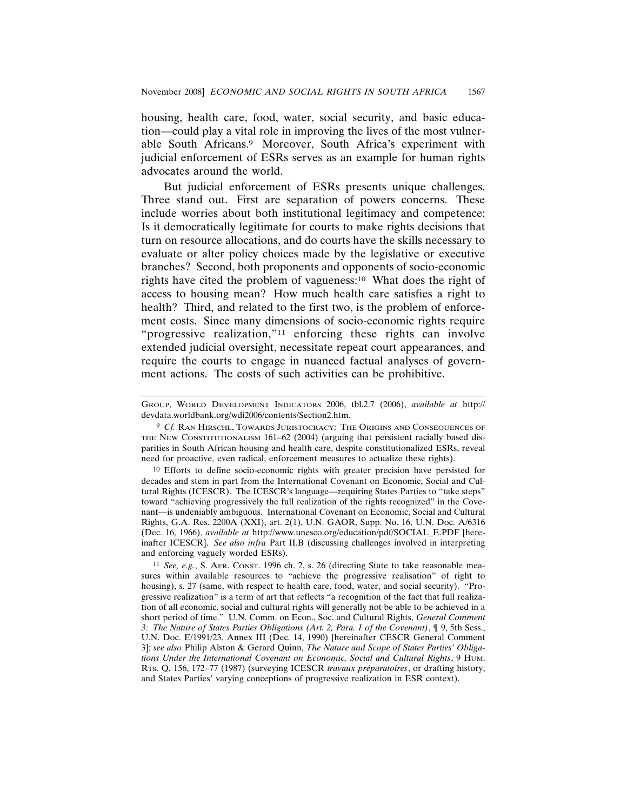housing, health care, food, water, social security, and basic education—could play a vital role in improving the lives of the most vulnerable South Africans.9 Moreover, South Africa's experiment with judicial enforcement of ESRs serves as an example for human rights advocates around the world.

But judicial enforcement of ESRs presents unique challenges. Three stand out. First are separation of powers concerns. These include worries about both institutional legitimacy and competence: Is it democratically legitimate for courts to make rights decisions that turn on resource allocations, and do courts have the skills necessary to evaluate or alter policy choices made by the legislative or executive branches? Second, both proponents and opponents of socio-economic rights have cited the problem of vagueness:10 What does the right of access to housing mean? How much health care satisfies a right to health? Third, and related to the first two, is the problem of enforcement costs. Since many dimensions of socio-economic rights require "progressive realization,"11 enforcing these rights can involve extended judicial oversight, necessitate repeat court appearances, and require the courts to engage in nuanced factual analyses of government actions. The costs of such activities can be prohibitive.

10 Efforts to define socio-economic rights with greater precision have persisted for decades and stem in part from the International Covenant on Economic, Social and Cultural Rights (ICESCR). The ICESCR's language—requiring States Parties to "take steps" toward "achieving progressively the full realization of the rights recognized" in the Covenant—is undeniably ambiguous. International Covenant on Economic, Social and Cultural Rights, G.A. Res. 2200A (XXI), art. 2(1), U.N. GAOR, Supp. No. 16, U.N. Doc. A/6316 (Dec. 16, 1966), *available at* http://www.unesco.org/education/pdf/SOCIAL\_E.PDF [hereinafter ICESCR]. *See also infra* Part II.B (discussing challenges involved in interpreting and enforcing vaguely worded ESRs).

11 *See, e.g.*, S. AFR. CONST. 1996 ch. 2, s. 26 (directing State to take reasonable measures within available resources to "achieve the progressive realisation" of right to housing), s. 27 (same, with respect to health care, food, water, and social security). "Progressive realization" is a term of art that reflects "a recognition of the fact that full realization of all economic, social and cultural rights will generally not be able to be achieved in a short period of time." U.N. Comm. on Econ., Soc. and Cultural Rights, *General Comment 3: The Nature of States Parties Obligations (Art. 2, Para. 1 of the Covenant)*, ¶ 9, 5th Sess., U.N. Doc. E/1991/23, Annex III (Dec. 14, 1990) [hereinafter CESCR General Comment 3]; *see also* Philip Alston & Gerard Quinn, *The Nature and Scope of States Parties' Obligations Under the International Covenant on Economic, Social and Cultural Rights*, 9 HUM. RTs. Q. 156, 172-77 (1987) (surveying ICESCR *travaux préparatoires*, or drafting history, and States Parties' varying conceptions of progressive realization in ESR context).

GROUP, WORLD DEVELOPMENT INDICATORS 2006, tbl.2.7 (2006), *available at* http:// devdata.worldbank.org/wdi2006/contents/Section2.htm.

<sup>9</sup> *Cf.* RAN HIRSCHL, TOWARDS JURISTOCRACY: THE ORIGINS AND CONSEQUENCES OF THE NEW CONSTITUTIONALISM 161–62 (2004) (arguing that persistent racially based disparities in South African housing and health care, despite constitutionalized ESRs, reveal need for proactive, even radical, enforcement measures to actualize these rights).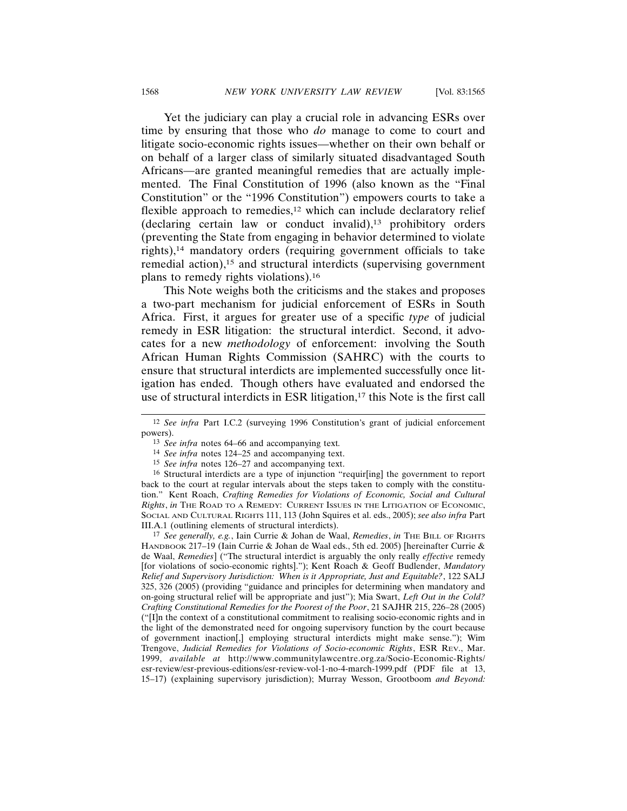Yet the judiciary can play a crucial role in advancing ESRs over time by ensuring that those who *do* manage to come to court and litigate socio-economic rights issues—whether on their own behalf or on behalf of a larger class of similarly situated disadvantaged South Africans—are granted meaningful remedies that are actually implemented. The Final Constitution of 1996 (also known as the "Final Constitution" or the "1996 Constitution") empowers courts to take a flexible approach to remedies,<sup>12</sup> which can include declaratory relief (declaring certain law or conduct invalid), $13$  prohibitory orders (preventing the State from engaging in behavior determined to violate rights),14 mandatory orders (requiring government officials to take remedial action),<sup>15</sup> and structural interdicts (supervising government plans to remedy rights violations).16

This Note weighs both the criticisms and the stakes and proposes a two-part mechanism for judicial enforcement of ESRs in South Africa. First, it argues for greater use of a specific *type* of judicial remedy in ESR litigation: the structural interdict. Second, it advocates for a new *methodology* of enforcement: involving the South African Human Rights Commission (SAHRC) with the courts to ensure that structural interdicts are implemented successfully once litigation has ended. Though others have evaluated and endorsed the use of structural interdicts in ESR litigation,<sup>17</sup> this Note is the first call

17 *See generally, e.g.*, Iain Currie & Johan de Waal, *Remedies*, *in* THE BILL OF RIGHTS HANDBOOK 217–19 (Iain Currie & Johan de Waal eds., 5th ed. 2005) [hereinafter Currie & de Waal, *Remedies*] ("The structural interdict is arguably the only really *effective* remedy [for violations of socio-economic rights]."); Kent Roach & Geoff Budlender, *Mandatory Relief and Supervisory Jurisdiction: When is it Appropriate, Just and Equitable?*, 122 SALJ 325, 326 (2005) (providing "guidance and principles for determining when mandatory and on-going structural relief will be appropriate and just"); Mia Swart, *Left Out in the Cold? Crafting Constitutional Remedies for the Poorest of the Poor*, 21 SAJHR 215, 226–28 (2005) ("[I]n the context of a constitutional commitment to realising socio-economic rights and in the light of the demonstrated need for ongoing supervisory function by the court because of government inaction[,] employing structural interdicts might make sense."); Wim Trengove, *Judicial Remedies for Violations of Socio-economic Rights*, ESR REV., Mar. 1999, *available at* http://www.communitylawcentre.org.za/Socio-Economic-Rights/ esr-review/esr-previous-editions/esr-review-vol-1-no-4-march-1999.pdf (PDF file at 13, 15–17) (explaining supervisory jurisdiction); Murray Wesson, Grootboom *and Beyond:*

<sup>12</sup> *See infra* Part I.C.2 (surveying 1996 Constitution's grant of judicial enforcement powers).

<sup>13</sup> *See infra* notes 64–66 and accompanying text*.*

<sup>14</sup> *See infra* notes 124–25 and accompanying text.

<sup>15</sup> *See infra* notes 126–27 and accompanying text.

<sup>&</sup>lt;sup>16</sup> Structural interdicts are a type of injunction "requir[ing] the government to report back to the court at regular intervals about the steps taken to comply with the constitution." Kent Roach, *Crafting Remedies for Violations of Economic, Social and Cultural Rights*, *in* THE ROAD TO A REMEDY: CURRENT ISSUES IN THE LITIGATION OF ECONOMIC, SOCIAL AND CULTURAL RIGHTS 111, 113 (John Squires et al. eds., 2005); *see also infra* Part III.A.1 (outlining elements of structural interdicts).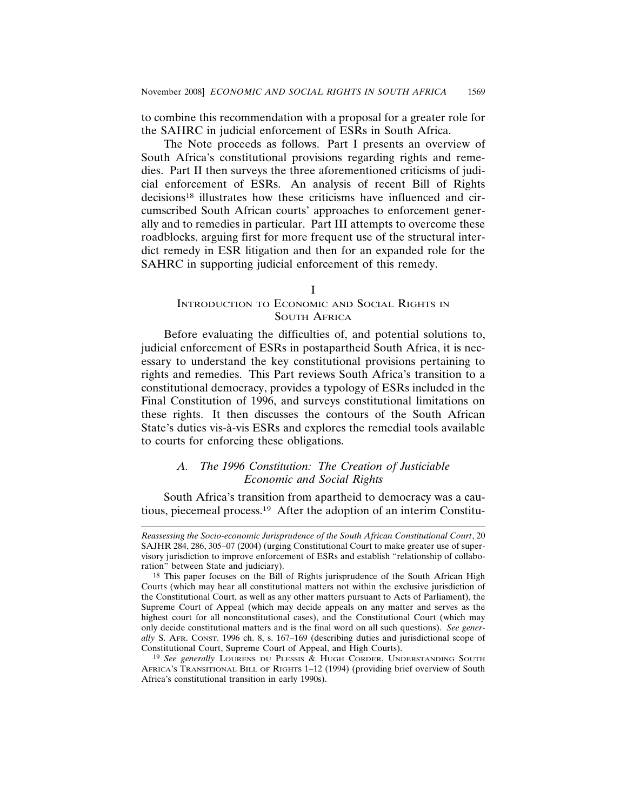to combine this recommendation with a proposal for a greater role for the SAHRC in judicial enforcement of ESRs in South Africa.

The Note proceeds as follows. Part I presents an overview of South Africa's constitutional provisions regarding rights and remedies. Part II then surveys the three aforementioned criticisms of judicial enforcement of ESRs. An analysis of recent Bill of Rights decisions<sup>18</sup> illustrates how these criticisms have influenced and circumscribed South African courts' approaches to enforcement generally and to remedies in particular. Part III attempts to overcome these roadblocks, arguing first for more frequent use of the structural interdict remedy in ESR litigation and then for an expanded role for the SAHRC in supporting judicial enforcement of this remedy.

#### I

# INTRODUCTION TO ECONOMIC AND SOCIAL RIGHTS IN SOUTH AFRICA

Before evaluating the difficulties of, and potential solutions to, judicial enforcement of ESRs in postapartheid South Africa, it is necessary to understand the key constitutional provisions pertaining to rights and remedies. This Part reviews South Africa's transition to a constitutional democracy, provides a typology of ESRs included in the Final Constitution of 1996, and surveys constitutional limitations on these rights. It then discusses the contours of the South African State's duties vis-à-vis ESRs and explores the remedial tools available to courts for enforcing these obligations.

# *A. The 1996 Constitution: The Creation of Justiciable Economic and Social Rights*

South Africa's transition from apartheid to democracy was a cautious, piecemeal process.19 After the adoption of an interim Constitu-

*Reassessing the Socio-economic Jurisprudence of the South African Constitutional Court*, 20 SAJHR 284, 286, 305–07 (2004) (urging Constitutional Court to make greater use of supervisory jurisdiction to improve enforcement of ESRs and establish "relationship of collaboration" between State and judiciary).

<sup>&</sup>lt;sup>18</sup> This paper focuses on the Bill of Rights jurisprudence of the South African High Courts (which may hear all constitutional matters not within the exclusive jurisdiction of the Constitutional Court, as well as any other matters pursuant to Acts of Parliament), the Supreme Court of Appeal (which may decide appeals on any matter and serves as the highest court for all nonconstitutional cases), and the Constitutional Court (which may only decide constitutional matters and is the final word on all such questions). *See generally* S. AFR. CONST. 1996 ch. 8, s. 167–169 (describing duties and jurisdictional scope of Constitutional Court, Supreme Court of Appeal, and High Courts).

<sup>&</sup>lt;sup>19</sup> See generally LOURENS DU PLESSIS & HUGH CORDER, UNDERSTANDING SOUTH AFRICA'S TRANSITIONAL BILL OF RIGHTS 1–12 (1994) (providing brief overview of South Africa's constitutional transition in early 1990s).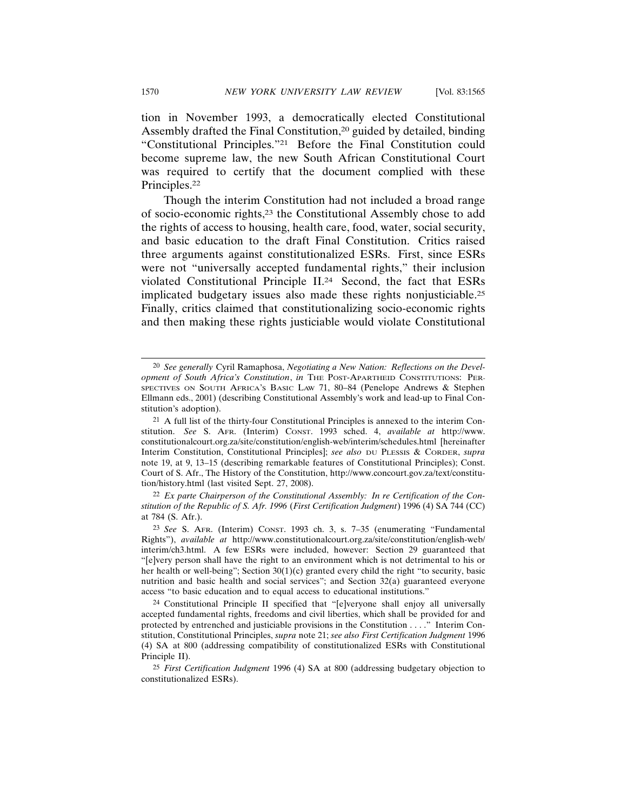tion in November 1993, a democratically elected Constitutional Assembly drafted the Final Constitution,<sup>20</sup> guided by detailed, binding "Constitutional Principles."21 Before the Final Constitution could become supreme law, the new South African Constitutional Court was required to certify that the document complied with these Principles.22

Though the interim Constitution had not included a broad range of socio-economic rights,23 the Constitutional Assembly chose to add the rights of access to housing, health care, food, water, social security, and basic education to the draft Final Constitution. Critics raised three arguments against constitutionalized ESRs. First, since ESRs were not "universally accepted fundamental rights," their inclusion violated Constitutional Principle II.24 Second, the fact that ESRs implicated budgetary issues also made these rights nonjusticiable.25 Finally, critics claimed that constitutionalizing socio-economic rights and then making these rights justiciable would violate Constitutional

<sup>20</sup> *See generally* Cyril Ramaphosa, *Negotiating a New Nation: Reflections on the Development of South Africa's Constitution*, *in* THE POST-APARTHEID CONSTITUTIONS: PER-SPECTIVES ON SOUTH AFRICA'S BASIC LAW 71, 80–84 (Penelope Andrews & Stephen Ellmann eds., 2001) (describing Constitutional Assembly's work and lead-up to Final Constitution's adoption).

<sup>21</sup> A full list of the thirty-four Constitutional Principles is annexed to the interim Constitution. *See* S. AFR. (Interim) CONST. 1993 sched. 4, *available at* http://www. constitutionalcourt.org.za/site/constitution/english-web/interim/schedules.html [hereinafter Interim Constitution, Constitutional Principles]; *see also* DU PLESSIS & CORDER, *supra* note 19, at 9, 13–15 (describing remarkable features of Constitutional Principles); Const. Court of S. Afr., The History of the Constitution, http://www.concourt.gov.za/text/constitution/history.html (last visited Sept. 27, 2008).

<sup>22</sup> *Ex parte Chairperson of the Constitutional Assembly: In re Certification of the Constitution of the Republic of S. Afr. 1996* (*First Certification Judgment*) 1996 (4) SA 744 (CC) at 784 (S. Afr.).

<sup>23</sup> *See* S. AFR. (Interim) CONST. 1993 ch. 3, s. 7–35 (enumerating "Fundamental Rights"), *available at* http://www.constitutionalcourt.org.za/site/constitution/english-web/ interim/ch3.html. A few ESRs were included, however: Section 29 guaranteed that "[e]very person shall have the right to an environment which is not detrimental to his or her health or well-being"; Section 30(1)(c) granted every child the right "to security, basic nutrition and basic health and social services"; and Section 32(a) guaranteed everyone access "to basic education and to equal access to educational institutions."

<sup>24</sup> Constitutional Principle II specified that "[e]veryone shall enjoy all universally accepted fundamental rights, freedoms and civil liberties, which shall be provided for and protected by entrenched and justiciable provisions in the Constitution . . . ." Interim Constitution, Constitutional Principles, *supra* note 21; *see also First Certification Judgment* 1996 (4) SA at 800 (addressing compatibility of constitutionalized ESRs with Constitutional Principle II).

<sup>25</sup> *First Certification Judgment* 1996 (4) SA at 800 (addressing budgetary objection to constitutionalized ESRs).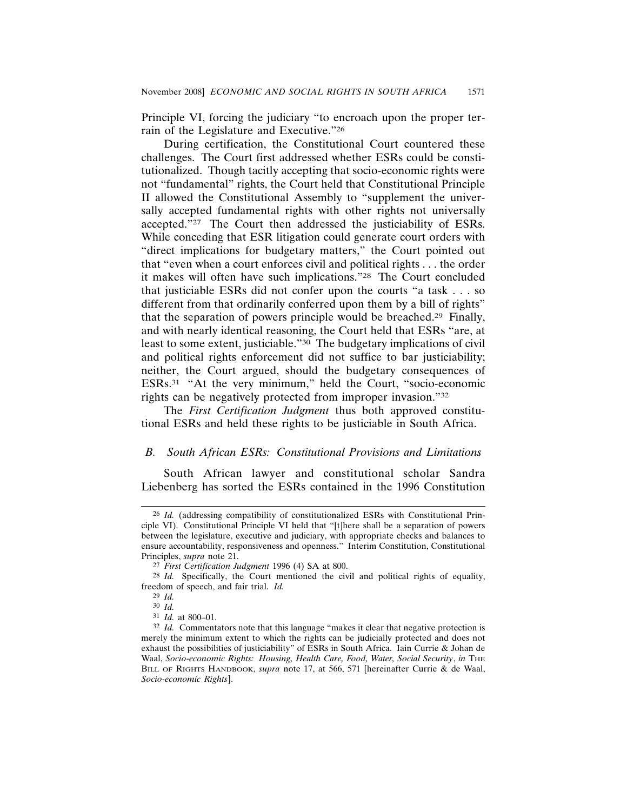Principle VI, forcing the judiciary "to encroach upon the proper terrain of the Legislature and Executive."26

During certification, the Constitutional Court countered these challenges. The Court first addressed whether ESRs could be constitutionalized. Though tacitly accepting that socio-economic rights were not "fundamental" rights, the Court held that Constitutional Principle II allowed the Constitutional Assembly to "supplement the universally accepted fundamental rights with other rights not universally accepted."27 The Court then addressed the justiciability of ESRs. While conceding that ESR litigation could generate court orders with "direct implications for budgetary matters," the Court pointed out that "even when a court enforces civil and political rights . . . the order it makes will often have such implications."28 The Court concluded that justiciable ESRs did not confer upon the courts "a task . . . so different from that ordinarily conferred upon them by a bill of rights" that the separation of powers principle would be breached.29 Finally, and with nearly identical reasoning, the Court held that ESRs "are, at least to some extent, justiciable."30 The budgetary implications of civil and political rights enforcement did not suffice to bar justiciability; neither, the Court argued, should the budgetary consequences of ESRs.31 "At the very minimum," held the Court, "socio-economic rights can be negatively protected from improper invasion."32

The *First Certification Judgment* thus both approved constitutional ESRs and held these rights to be justiciable in South Africa.

## *B. South African ESRs: Constitutional Provisions and Limitations*

South African lawyer and constitutional scholar Sandra Liebenberg has sorted the ESRs contained in the 1996 Constitution

<sup>26</sup> *Id.* (addressing compatibility of constitutionalized ESRs with Constitutional Principle VI). Constitutional Principle VI held that "[t]here shall be a separation of powers between the legislature, executive and judiciary, with appropriate checks and balances to ensure accountability, responsiveness and openness." Interim Constitution, Constitutional Principles, *supra* note 21.

<sup>27</sup> *First Certification Judgment* 1996 (4) SA at 800.

<sup>28</sup> *Id.* Specifically, the Court mentioned the civil and political rights of equality, freedom of speech, and fair trial. *Id.*

<sup>29</sup> *Id.*

<sup>30</sup> *Id.*

<sup>31</sup> *Id.* at 800–01.

<sup>32</sup> *Id.* Commentators note that this language "makes it clear that negative protection is merely the minimum extent to which the rights can be judicially protected and does not exhaust the possibilities of justiciability" of ESRs in South Africa. Iain Currie & Johan de Waal, *Socio-economic Rights: Housing, Health Care, Food, Water, Social Security*, *in* THE BILL OF RIGHTS HANDBOOK, *supra* note 17, at 566, 571 [hereinafter Currie & de Waal, *Socio-economic Rights*].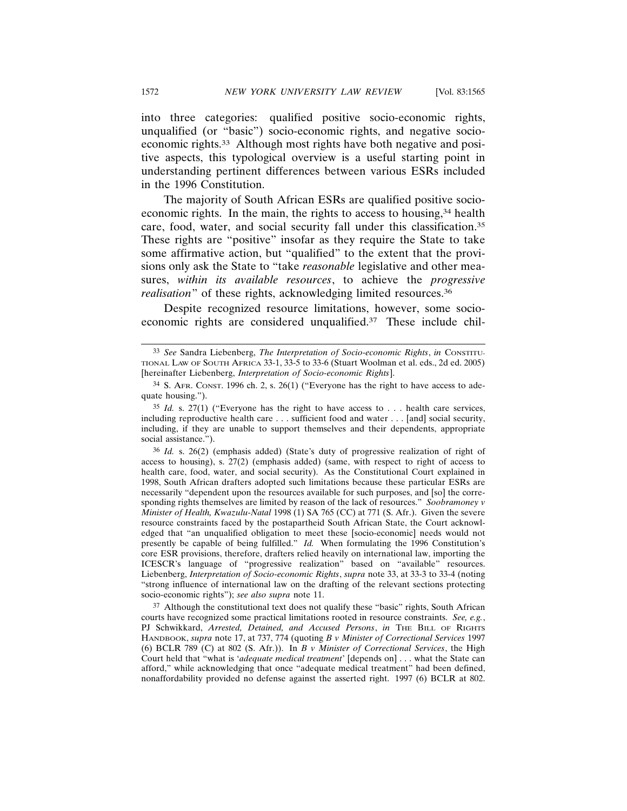into three categories: qualified positive socio-economic rights, unqualified (or "basic") socio-economic rights, and negative socioeconomic rights.33 Although most rights have both negative and positive aspects, this typological overview is a useful starting point in understanding pertinent differences between various ESRs included in the 1996 Constitution.

The majority of South African ESRs are qualified positive socioeconomic rights. In the main, the rights to access to housing,<sup>34</sup> health care, food, water, and social security fall under this classification.35 These rights are "positive" insofar as they require the State to take some affirmative action, but "qualified" to the extent that the provisions only ask the State to "take *reasonable* legislative and other measures, *within its available resources*, to achieve the *progressive realisation*" of these rights, acknowledging limited resources.<sup>36</sup>

Despite recognized resource limitations, however, some socioeconomic rights are considered unqualified.37 These include chil-

36 *Id.* s. 26(2) (emphasis added) (State's duty of progressive realization of right of access to housing), s. 27(2) (emphasis added) (same, with respect to right of access to health care, food, water, and social security). As the Constitutional Court explained in 1998, South African drafters adopted such limitations because these particular ESRs are necessarily "dependent upon the resources available for such purposes, and [so] the corresponding rights themselves are limited by reason of the lack of resources." *Soobramoney v Minister of Health, Kwazulu-Natal* 1998 (1) SA 765 (CC) at 771 (S. Afr.). Given the severe resource constraints faced by the postapartheid South African State, the Court acknowledged that "an unqualified obligation to meet these [socio-economic] needs would not presently be capable of being fulfilled." *Id.* When formulating the 1996 Constitution's core ESR provisions, therefore, drafters relied heavily on international law, importing the ICESCR's language of "progressive realization" based on "available" resources. Liebenberg, *Interpretation of Socio-economic Rights*, *supra* note 33, at 33-3 to 33-4 (noting "strong influence of international law on the drafting of the relevant sections protecting socio-economic rights"); *see also supra* note 11.

<sup>37</sup> Although the constitutional text does not qualify these "basic" rights, South African courts have recognized some practical limitations rooted in resource constraints. *See, e.g.*, PJ Schwikkard, *Arrested, Detained, and Accused Persons*, *in* THE BILL OF RIGHTS HANDBOOK, *supra* note 17, at 737, 774 (quoting *B v Minister of Correctional Services* 1997 (6) BCLR 789 (C) at 802 (S. Afr.)). In *B v Minister of Correctional Services*, the High Court held that "what is '*adequate medical treatment*' [depends on] . . . what the State can afford," while acknowledging that once "adequate medical treatment" had been defined, nonaffordability provided no defense against the asserted right. 1997 (6) BCLR at 802.

<sup>33</sup> *See* Sandra Liebenberg, *The Interpretation of Socio-economic Rights*, *in* CONSTITU-TIONAL LAW OF SOUTH AFRICA 33-1, 33-5 to 33-6 (Stuart Woolman et al. eds., 2d ed. 2005) [hereinafter Liebenberg, *Interpretation of Socio-economic Rights*].

<sup>34</sup> S. AFR. CONST. 1996 ch. 2, s. 26(1) ("Everyone has the right to have access to adequate housing.").

<sup>35</sup> *Id.* s. 27(1) ("Everyone has the right to have access to . . . health care services, including reproductive health care . . . sufficient food and water . . . [and] social security, including, if they are unable to support themselves and their dependents, appropriate social assistance.").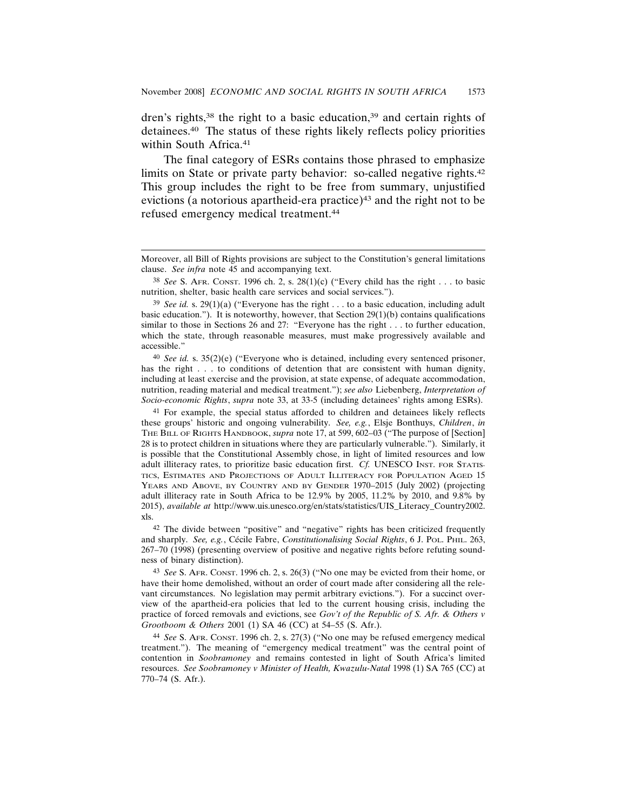dren's rights,<sup>38</sup> the right to a basic education,<sup>39</sup> and certain rights of detainees.40 The status of these rights likely reflects policy priorities within South Africa.<sup>41</sup>

The final category of ESRs contains those phrased to emphasize limits on State or private party behavior: so-called negative rights.<sup>42</sup> This group includes the right to be free from summary, unjustified evictions (a notorious apartheid-era practice) $43$  and the right not to be refused emergency medical treatment.44

<sup>40</sup> *See id.* s. 35(2)(e) ("Everyone who is detained, including every sentenced prisoner, has the right . . . to conditions of detention that are consistent with human dignity, including at least exercise and the provision, at state expense, of adequate accommodation, nutrition, reading material and medical treatment."); *see also* Liebenberg, *Interpretation of Socio-economic Rights*, *supra* note 33, at 33-5 (including detainees' rights among ESRs).

41 For example, the special status afforded to children and detainees likely reflects these groups' historic and ongoing vulnerability. *See, e.g.*, Elsje Bonthuys, *Children*, *in* THE BILL OF RIGHTS HANDBOOK, *supra* note 17, at 599, 602–03 ("The purpose of [Section] 28 is to protect children in situations where they are particularly vulnerable."). Similarly, it is possible that the Constitutional Assembly chose, in light of limited resources and low adult illiteracy rates, to prioritize basic education first. *Cf.* UNESCO INST. FOR STATIS-TICS, ESTIMATES AND PROJECTIONS OF ADULT ILLITERACY FOR POPULATION AGED 15 YEARS AND ABOVE, BY COUNTRY AND BY GENDER 1970–2015 (July 2002) (projecting adult illiteracy rate in South Africa to be 12.9% by 2005, 11.2% by 2010, and 9.8% by 2015), *available at* http://www.uis.unesco.org/en/stats/statistics/UIS\_Literacy\_Country2002. xls.

42 The divide between "positive" and "negative" rights has been criticized frequently and sharply. *See, e.g.*, Cécile Fabre, *Constitutionalising Social Rights*, 6 J. POL. PHIL. 263, 267–70 (1998) (presenting overview of positive and negative rights before refuting soundness of binary distinction).

43 *See* S. AFR. CONST. 1996 ch. 2, s. 26(3) ("No one may be evicted from their home, or have their home demolished, without an order of court made after considering all the relevant circumstances. No legislation may permit arbitrary evictions."). For a succinct overview of the apartheid-era policies that led to the current housing crisis, including the practice of forced removals and evictions, see *Gov't of the Republic of S. Afr. & Others v Grootboom & Others* 2001 (1) SA 46 (CC) at 54–55 (S. Afr.).

44 *See* S. AFR. CONST. 1996 ch. 2, s. 27(3) ("No one may be refused emergency medical treatment."). The meaning of "emergency medical treatment" was the central point of contention in *Soobramoney* and remains contested in light of South Africa's limited resources. *See Soobramoney v Minister of Health, Kwazulu-Natal* 1998 (1) SA 765 (CC) at 770–74 (S. Afr.).

Moreover, all Bill of Rights provisions are subject to the Constitution's general limitations clause. *See infra* note 45 and accompanying text.

<sup>38</sup> *See* S. AFR. CONST. 1996 ch. 2, s. 28(1)(c) ("Every child has the right . . . to basic nutrition, shelter, basic health care services and social services.").

<sup>&</sup>lt;sup>39</sup> *See id.* s. 29(1)(a) ("Everyone has the right . . . to a basic education, including adult basic education."). It is noteworthy, however, that Section 29(1)(b) contains qualifications similar to those in Sections 26 and 27: "Everyone has the right . . . to further education, which the state, through reasonable measures, must make progressively available and accessible."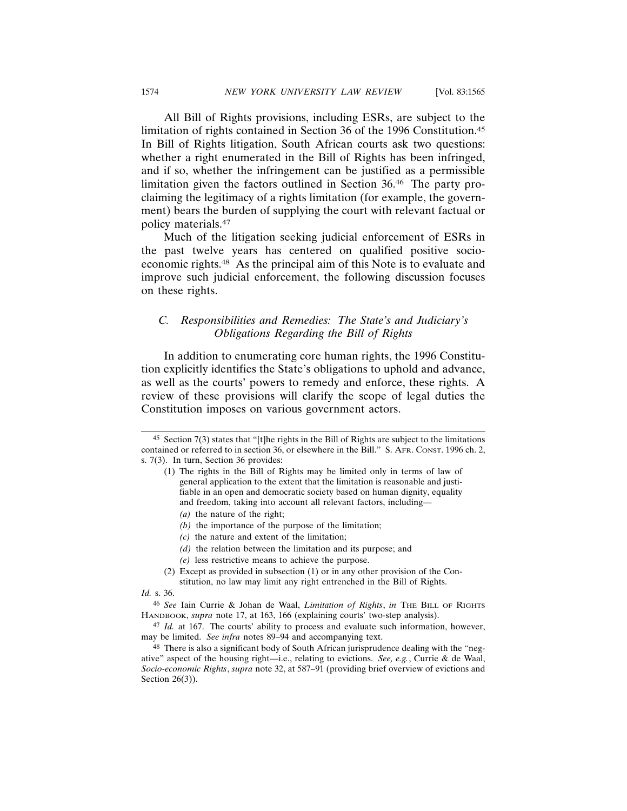All Bill of Rights provisions, including ESRs, are subject to the limitation of rights contained in Section 36 of the 1996 Constitution.45 In Bill of Rights litigation, South African courts ask two questions: whether a right enumerated in the Bill of Rights has been infringed, and if so, whether the infringement can be justified as a permissible limitation given the factors outlined in Section 36.46 The party proclaiming the legitimacy of a rights limitation (for example, the government) bears the burden of supplying the court with relevant factual or policy materials.47

Much of the litigation seeking judicial enforcement of ESRs in the past twelve years has centered on qualified positive socioeconomic rights.48 As the principal aim of this Note is to evaluate and improve such judicial enforcement, the following discussion focuses on these rights.

# *C. Responsibilities and Remedies: The State's and Judiciary's Obligations Regarding the Bill of Rights*

In addition to enumerating core human rights, the 1996 Constitution explicitly identifies the State's obligations to uphold and advance, as well as the courts' powers to remedy and enforce, these rights. A review of these provisions will clarify the scope of legal duties the Constitution imposes on various government actors.

- (1) The rights in the Bill of Rights may be limited only in terms of law of general application to the extent that the limitation is reasonable and justifiable in an open and democratic society based on human dignity, equality and freedom, taking into account all relevant factors, including—
	- *(a)* the nature of the right;
	- *(b)* the importance of the purpose of the limitation;
	- *(c)* the nature and extent of the limitation;
	- *(d)* the relation between the limitation and its purpose; and
	- *(e)* less restrictive means to achieve the purpose.
- (2) Except as provided in subsection (1) or in any other provision of the Constitution, no law may limit any right entrenched in the Bill of Rights.

 $45$  Section 7(3) states that "[t]he rights in the Bill of Rights are subject to the limitations contained or referred to in section 36, or elsewhere in the Bill." S. AFR. CONST. 1996 ch. 2, s. 7(3). In turn, Section 36 provides:

*Id.* s. 36.

<sup>46</sup> *See* Iain Currie & Johan de Waal, *Limitation of Rights*, *in* THE BILL OF RIGHTS HANDBOOK, *supra* note 17, at 163, 166 (explaining courts' two-step analysis).

<sup>47</sup> *Id.* at 167. The courts' ability to process and evaluate such information, however, may be limited. *See infra* notes 89–94 and accompanying text.

<sup>48</sup> There is also a significant body of South African jurisprudence dealing with the "negative" aspect of the housing right—i.e., relating to evictions. *See, e.g.*, Currie & de Waal, *Socio-economic Rights*, *supra* note 32, at 587–91 (providing brief overview of evictions and Section 26(3)).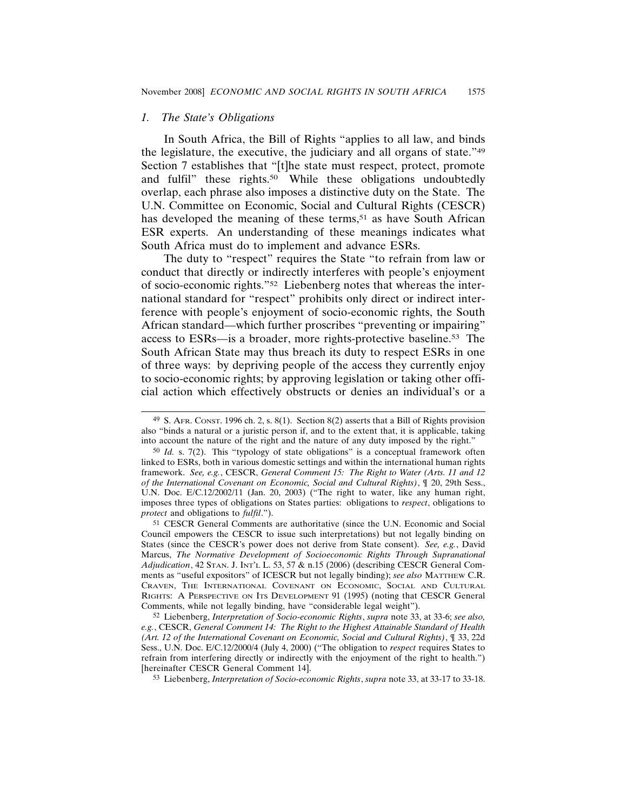#### *1. The State's Obligations*

In South Africa, the Bill of Rights "applies to all law, and binds the legislature, the executive, the judiciary and all organs of state."49 Section 7 establishes that "[t]he state must respect, protect, promote and fulfil" these rights.<sup>50</sup> While these obligations undoubtedly overlap, each phrase also imposes a distinctive duty on the State. The U.N. Committee on Economic, Social and Cultural Rights (CESCR) has developed the meaning of these terms,<sup>51</sup> as have South African ESR experts. An understanding of these meanings indicates what South Africa must do to implement and advance ESRs.

The duty to "respect" requires the State "to refrain from law or conduct that directly or indirectly interferes with people's enjoyment of socio-economic rights."52 Liebenberg notes that whereas the international standard for "respect" prohibits only direct or indirect interference with people's enjoyment of socio-economic rights, the South African standard—which further proscribes "preventing or impairing" access to ESRs—is a broader, more rights-protective baseline.53 The South African State may thus breach its duty to respect ESRs in one of three ways: by depriving people of the access they currently enjoy to socio-economic rights; by approving legislation or taking other official action which effectively obstructs or denies an individual's or a

51 CESCR General Comments are authoritative (since the U.N. Economic and Social Council empowers the CESCR to issue such interpretations) but not legally binding on States (since the CESCR's power does not derive from State consent). *See, e.g.*, David Marcus, *The Normative Development of Socioeconomic Rights Through Supranational Adjudication*, 42 STAN. J. INT'L L. 53, 57 & n.15 (2006) (describing CESCR General Comments as "useful expositors" of ICESCR but not legally binding); see also MATTHEW C.R. CRAVEN, THE INTERNATIONAL COVENANT ON ECONOMIC, SOCIAL AND CULTURAL RIGHTS: A PERSPECTIVE ON ITS DEVELOPMENT 91 (1995) (noting that CESCR General Comments, while not legally binding, have "considerable legal weight").

52 Liebenberg, *Interpretation of Socio-economic Rights*, *supra* note 33, at 33-6; *see also, e.g.*, CESCR, *General Comment 14: The Right to the Highest Attainable Standard of Health (Art. 12 of the International Covenant on Economic, Social and Cultural Rights)*, ¶ 33, 22d Sess., U.N. Doc. E/C.12/2000/4 (July 4, 2000) ("The obligation to *respect* requires States to refrain from interfering directly or indirectly with the enjoyment of the right to health.") [hereinafter CESCR General Comment 14].

53 Liebenberg, *Interpretation of Socio-economic Rights*, *supra* note 33, at 33-17 to 33-18.

 $49$  S. AFR. CONST. 1996 ch. 2, s.  $8(1)$ . Section  $8(2)$  asserts that a Bill of Rights provision also "binds a natural or a juristic person if, and to the extent that, it is applicable, taking into account the nature of the right and the nature of any duty imposed by the right."

<sup>50</sup> *Id.* s. 7(2). This "typology of state obligations" is a conceptual framework often linked to ESRs, both in various domestic settings and within the international human rights framework. *See, e.g.*, CESCR, *General Comment 15: The Right to Water (Arts. 11 and 12 of the International Covenant on Economic, Social and Cultural Rights)*, ¶ 20, 29th Sess., U.N. Doc. E/C.12/2002/11 (Jan. 20, 2003) ("The right to water, like any human right, imposes three types of obligations on States parties: obligations to *respect*, obligations to *protect* and obligations to *fulfil*.").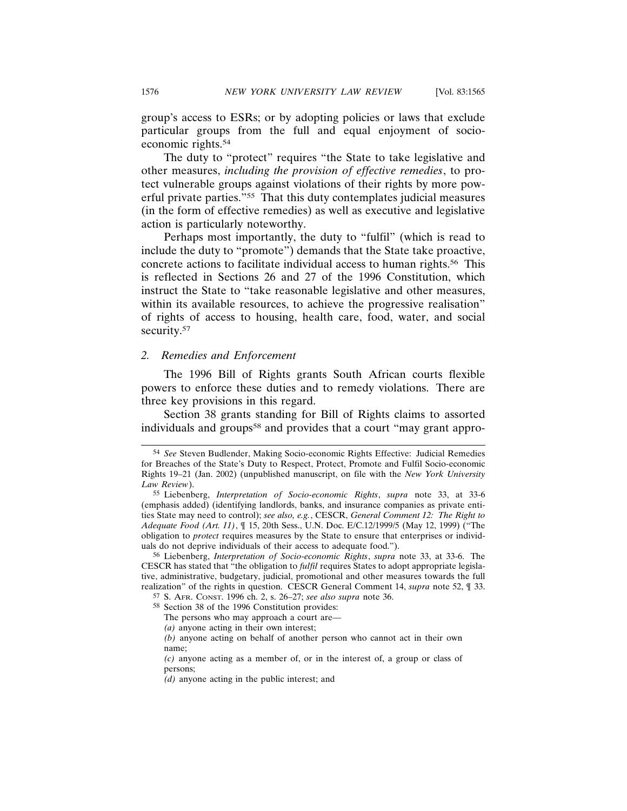group's access to ESRs; or by adopting policies or laws that exclude particular groups from the full and equal enjoyment of socioeconomic rights.54

The duty to "protect" requires "the State to take legislative and other measures, *including the provision of effective remedies*, to protect vulnerable groups against violations of their rights by more powerful private parties."55 That this duty contemplates judicial measures (in the form of effective remedies) as well as executive and legislative action is particularly noteworthy.

Perhaps most importantly, the duty to "fulfil" (which is read to include the duty to "promote") demands that the State take proactive, concrete actions to facilitate individual access to human rights.56 This is reflected in Sections 26 and 27 of the 1996 Constitution, which instruct the State to "take reasonable legislative and other measures, within its available resources, to achieve the progressive realisation" of rights of access to housing, health care, food, water, and social security.<sup>57</sup>

#### *2. Remedies and Enforcement*

The 1996 Bill of Rights grants South African courts flexible powers to enforce these duties and to remedy violations. There are three key provisions in this regard.

Section 38 grants standing for Bill of Rights claims to assorted individuals and groups<sup>58</sup> and provides that a court "may grant appro-

<sup>54</sup> *See* Steven Budlender, Making Socio-economic Rights Effective: Judicial Remedies for Breaches of the State's Duty to Respect, Protect, Promote and Fulfil Socio-economic Rights 19–21 (Jan. 2002) (unpublished manuscript, on file with the *New York University Law Review*).

<sup>55</sup> Liebenberg, *Interpretation of Socio-economic Rights*, *supra* note 33, at 33-6 (emphasis added) (identifying landlords, banks, and insurance companies as private entities State may need to control); *see also, e.g.*, CESCR, *General Comment 12: The Right to Adequate Food (Art. 11)*, ¶ 15, 20th Sess., U.N. Doc. E/C.12/1999/5 (May 12, 1999) ("The obligation to *protect* requires measures by the State to ensure that enterprises or individuals do not deprive individuals of their access to adequate food.").

<sup>56</sup> Liebenberg, *Interpretation of Socio-economic Rights*, *supra* note 33, at 33-6. The CESCR has stated that "the obligation to *fulfil* requires States to adopt appropriate legislative, administrative, budgetary, judicial, promotional and other measures towards the full realization" of the rights in question. CESCR General Comment 14, *supra* note 52, ¶ 33.

<sup>57</sup> S. AFR. CONST. 1996 ch. 2, s. 26–27; *see also supra* note 36.

<sup>58</sup> Section 38 of the 1996 Constitution provides:

The persons who may approach a court are—

*<sup>(</sup>a)* anyone acting in their own interest;

*<sup>(</sup>b)* anyone acting on behalf of another person who cannot act in their own name;

*<sup>(</sup>c)* anyone acting as a member of, or in the interest of, a group or class of persons;

*<sup>(</sup>d)* anyone acting in the public interest; and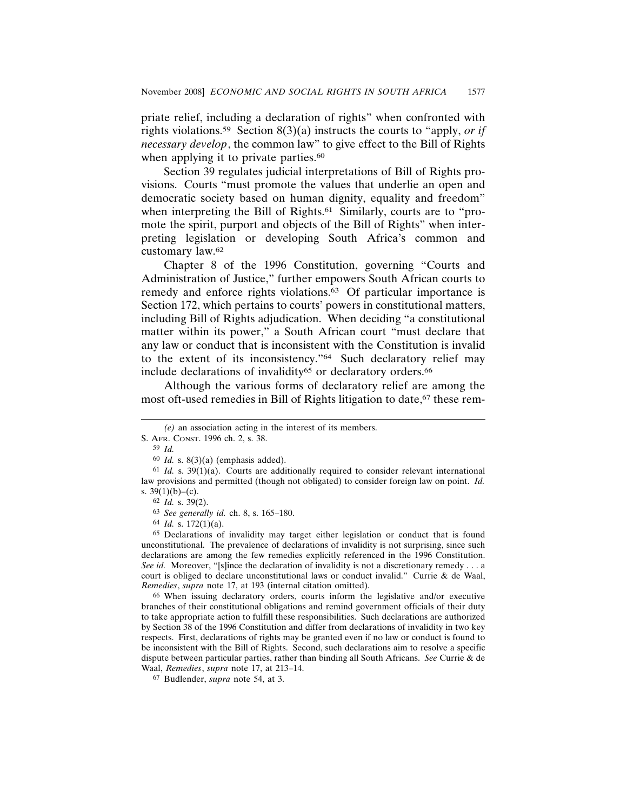priate relief, including a declaration of rights" when confronted with rights violations.59 Section 8(3)(a) instructs the courts to "apply, *or if necessary develop*, the common law" to give effect to the Bill of Rights when applying it to private parties.<sup>60</sup>

Section 39 regulates judicial interpretations of Bill of Rights provisions. Courts "must promote the values that underlie an open and democratic society based on human dignity, equality and freedom" when interpreting the Bill of Rights.<sup>61</sup> Similarly, courts are to "promote the spirit, purport and objects of the Bill of Rights" when interpreting legislation or developing South Africa's common and customary law.62

Chapter 8 of the 1996 Constitution, governing "Courts and Administration of Justice," further empowers South African courts to remedy and enforce rights violations.<sup>63</sup> Of particular importance is Section 172, which pertains to courts' powers in constitutional matters, including Bill of Rights adjudication. When deciding "a constitutional matter within its power," a South African court "must declare that any law or conduct that is inconsistent with the Constitution is invalid to the extent of its inconsistency."64 Such declaratory relief may include declarations of invalidity<sup>65</sup> or declaratory orders.<sup>66</sup>

Although the various forms of declaratory relief are among the most oft-used remedies in Bill of Rights litigation to date,<sup>67</sup> these rem-

64 *Id.* s. 172(1)(a).

65 Declarations of invalidity may target either legislation or conduct that is found unconstitutional. The prevalence of declarations of invalidity is not surprising, since such declarations are among the few remedies explicitly referenced in the 1996 Constitution. *See id.* Moreover, "[s]ince the declaration of invalidity is not a discretionary remedy . . . a court is obliged to declare unconstitutional laws or conduct invalid." Currie & de Waal, *Remedies*, *supra* note 17, at 193 (internal citation omitted).

66 When issuing declaratory orders, courts inform the legislative and/or executive branches of their constitutional obligations and remind government officials of their duty to take appropriate action to fulfill these responsibilities. Such declarations are authorized by Section 38 of the 1996 Constitution and differ from declarations of invalidity in two key respects. First, declarations of rights may be granted even if no law or conduct is found to be inconsistent with the Bill of Rights. Second, such declarations aim to resolve a specific dispute between particular parties, rather than binding all South Africans. *See* Currie & de Waal, *Remedies*, *supra* note 17, at 213–14.

67 Budlender, *supra* note 54, at 3.

*<sup>(</sup>e)* an association acting in the interest of its members.

S. AFR. CONST. 1996 ch. 2, s. 38.

<sup>59</sup> *Id.*

<sup>60</sup> *Id.* s. 8(3)(a) (emphasis added).

 $61$  *Id.* s. 39(1)(a). Courts are additionally required to consider relevant international law provisions and permitted (though not obligated) to consider foreign law on point. *Id.* s.  $39(1)(b)-(c)$ .

<sup>62</sup> *Id.* s. 39(2).

<sup>63</sup> *See generally id.* ch. 8, s. 165–180.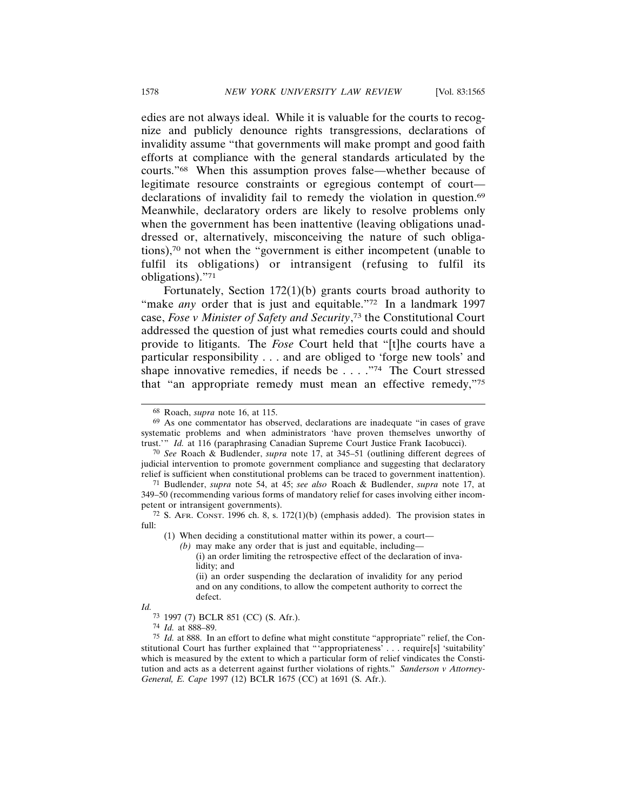edies are not always ideal. While it is valuable for the courts to recognize and publicly denounce rights transgressions, declarations of invalidity assume "that governments will make prompt and good faith efforts at compliance with the general standards articulated by the courts."68 When this assumption proves false—whether because of legitimate resource constraints or egregious contempt of court declarations of invalidity fail to remedy the violation in question.<sup>69</sup> Meanwhile, declaratory orders are likely to resolve problems only when the government has been inattentive (leaving obligations unaddressed or, alternatively, misconceiving the nature of such obligations),70 not when the "government is either incompetent (unable to fulfil its obligations) or intransigent (refusing to fulfil its obligations)."71

Fortunately, Section 172(1)(b) grants courts broad authority to "make *any* order that is just and equitable."<sup>72</sup> In a landmark 1997 case, *Fose v Minister of Safety and Security*, 73 the Constitutional Court addressed the question of just what remedies courts could and should provide to litigants. The *Fose* Court held that "[t]he courts have a particular responsibility . . . and are obliged to 'forge new tools' and shape innovative remedies, if needs be . . . ."74 The Court stressed that "an appropriate remedy must mean an effective remedy,"75

(i) an order limiting the retrospective effect of the declaration of invalidity; and

(ii) an order suspending the declaration of invalidity for any period and on any conditions, to allow the competent authority to correct the defect.

74 *Id.* at 888–89.

<sup>68</sup> Roach, *supra* note 16, at 115.

<sup>69</sup> As one commentator has observed, declarations are inadequate "in cases of grave systematic problems and when administrators 'have proven themselves unworthy of trust.'" *Id.* at 116 (paraphrasing Canadian Supreme Court Justice Frank Iacobucci).

<sup>70</sup> *See* Roach & Budlender, *supra* note 17, at 345–51 (outlining different degrees of judicial intervention to promote government compliance and suggesting that declaratory relief is sufficient when constitutional problems can be traced to government inattention).

<sup>71</sup> Budlender, *supra* note 54, at 45; *see also* Roach & Budlender, *supra* note 17, at 349–50 (recommending various forms of mandatory relief for cases involving either incompetent or intransigent governments).

<sup>72</sup> S. AFR. CONST. 1996 ch. 8, s. 172(1)(b) (emphasis added). The provision states in full:

<sup>(1)</sup> When deciding a constitutional matter within its power, a court—

*<sup>(</sup>b)* may make any order that is just and equitable, including—

*Id.*

<sup>73</sup> 1997 (7) BCLR 851 (CC) (S. Afr.).

<sup>75</sup> *Id.* at 888. In an effort to define what might constitute "appropriate" relief, the Constitutional Court has further explained that "'appropriateness'... require[s] 'suitability' which is measured by the extent to which a particular form of relief vindicates the Constitution and acts as a deterrent against further violations of rights." *Sanderson v Attorney-General, E. Cape* 1997 (12) BCLR 1675 (CC) at 1691 (S. Afr.).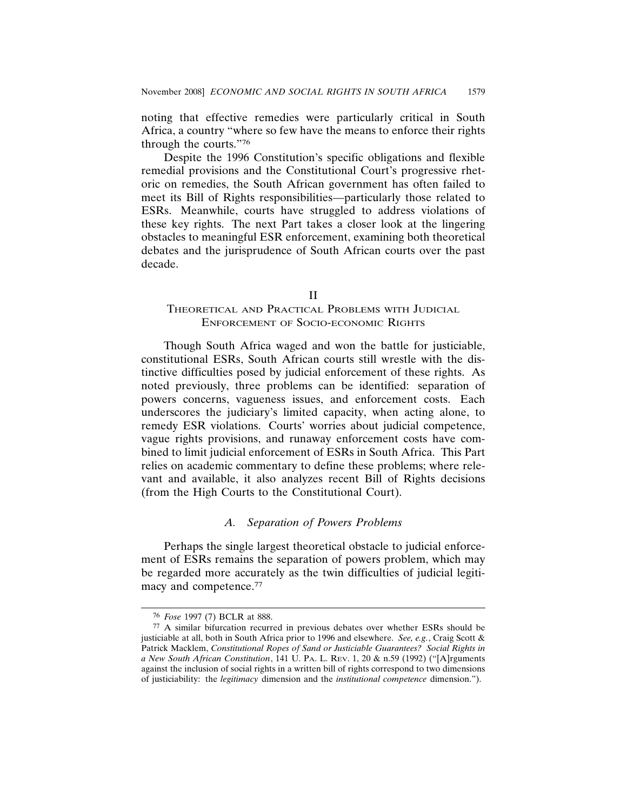noting that effective remedies were particularly critical in South Africa, a country "where so few have the means to enforce their rights through the courts."76

Despite the 1996 Constitution's specific obligations and flexible remedial provisions and the Constitutional Court's progressive rhetoric on remedies, the South African government has often failed to meet its Bill of Rights responsibilities—particularly those related to ESRs. Meanwhile, courts have struggled to address violations of these key rights. The next Part takes a closer look at the lingering obstacles to meaningful ESR enforcement, examining both theoretical debates and the jurisprudence of South African courts over the past decade.

#### II

# THEORETICAL AND PRACTICAL PROBLEMS WITH JUDICIAL ENFORCEMENT OF SOCIO-ECONOMIC RIGHTS

Though South Africa waged and won the battle for justiciable, constitutional ESRs, South African courts still wrestle with the distinctive difficulties posed by judicial enforcement of these rights. As noted previously, three problems can be identified: separation of powers concerns, vagueness issues, and enforcement costs. Each underscores the judiciary's limited capacity, when acting alone, to remedy ESR violations. Courts' worries about judicial competence, vague rights provisions, and runaway enforcement costs have combined to limit judicial enforcement of ESRs in South Africa. This Part relies on academic commentary to define these problems; where relevant and available, it also analyzes recent Bill of Rights decisions (from the High Courts to the Constitutional Court).

# *A. Separation of Powers Problems*

Perhaps the single largest theoretical obstacle to judicial enforcement of ESRs remains the separation of powers problem, which may be regarded more accurately as the twin difficulties of judicial legitimacy and competence.77

<sup>76</sup> *Fose* 1997 (7) BCLR at 888.

<sup>77</sup> A similar bifurcation recurred in previous debates over whether ESRs should be justiciable at all, both in South Africa prior to 1996 and elsewhere. *See, e.g.*, Craig Scott & Patrick Macklem, *Constitutional Ropes of Sand or Justiciable Guarantees? Social Rights in a New South African Constitution*, 141 U. PA. L. REV. 1, 20 & n.59 (1992) ("[A]rguments against the inclusion of social rights in a written bill of rights correspond to two dimensions of justiciability: the *legitimacy* dimension and the *institutional competence* dimension.").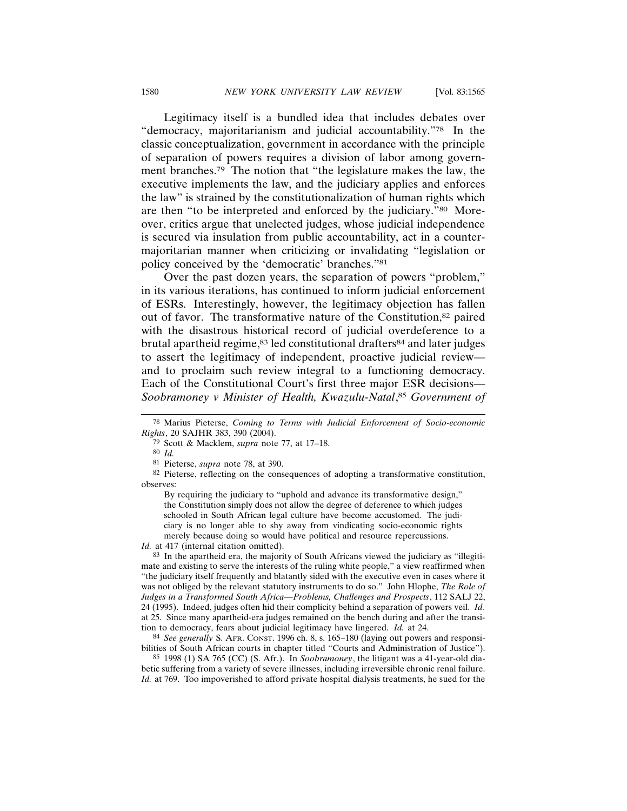Legitimacy itself is a bundled idea that includes debates over "democracy, majoritarianism and judicial accountability."78 In the classic conceptualization, government in accordance with the principle of separation of powers requires a division of labor among government branches.79 The notion that "the legislature makes the law, the executive implements the law, and the judiciary applies and enforces the law" is strained by the constitutionalization of human rights which are then "to be interpreted and enforced by the judiciary."80 Moreover, critics argue that unelected judges, whose judicial independence is secured via insulation from public accountability, act in a countermajoritarian manner when criticizing or invalidating "legislation or policy conceived by the 'democratic' branches."81

Over the past dozen years, the separation of powers "problem," in its various iterations, has continued to inform judicial enforcement of ESRs. Interestingly, however, the legitimacy objection has fallen out of favor. The transformative nature of the Constitution,82 paired with the disastrous historical record of judicial overdeference to a brutal apartheid regime,<sup>83</sup> led constitutional drafters<sup>84</sup> and later judges to assert the legitimacy of independent, proactive judicial review and to proclaim such review integral to a functioning democracy. Each of the Constitutional Court's first three major ESR decisions— *Soobramoney v Minister of Health, Kwazulu-Natal*, <sup>85</sup> *Government of*

80 *Id.*

By requiring the judiciary to "uphold and advance its transformative design," the Constitution simply does not allow the degree of deference to which judges schooled in South African legal culture have become accustomed. The judiciary is no longer able to shy away from vindicating socio-economic rights merely because doing so would have political and resource repercussions.

*Id.* at 417 (internal citation omitted).

83 In the apartheid era, the majority of South Africans viewed the judiciary as "illegitimate and existing to serve the interests of the ruling white people," a view reaffirmed when "the judiciary itself frequently and blatantly sided with the executive even in cases where it was not obliged by the relevant statutory instruments to do so." John Hlophe, *The Role of Judges in a Transformed South Africa—Problems, Challenges and Prospects*, 112 SALJ 22, 24 (1995). Indeed, judges often hid their complicity behind a separation of powers veil. *Id.* at 25. Since many apartheid-era judges remained on the bench during and after the transition to democracy, fears about judicial legitimacy have lingered. *Id.* at 24.

84 *See generally* S. AFR. CONST. 1996 ch. 8, s. 165–180 (laying out powers and responsibilities of South African courts in chapter titled "Courts and Administration of Justice").

85 1998 (1) SA 765 (CC) (S. Afr.). In *Soobramoney*, the litigant was a 41-year-old diabetic suffering from a variety of severe illnesses, including irreversible chronic renal failure. *Id.* at 769. Too impoverished to afford private hospital dialysis treatments, he sued for the

<sup>78</sup> Marius Pieterse, *Coming to Terms with Judicial Enforcement of Socio-economic Rights*, 20 SAJHR 383, 390 (2004).

<sup>79</sup> Scott & Macklem, *supra* note 77, at 17–18.

<sup>81</sup> Pieterse, *supra* note 78, at 390.

<sup>82</sup> Pieterse, reflecting on the consequences of adopting a transformative constitution, observes: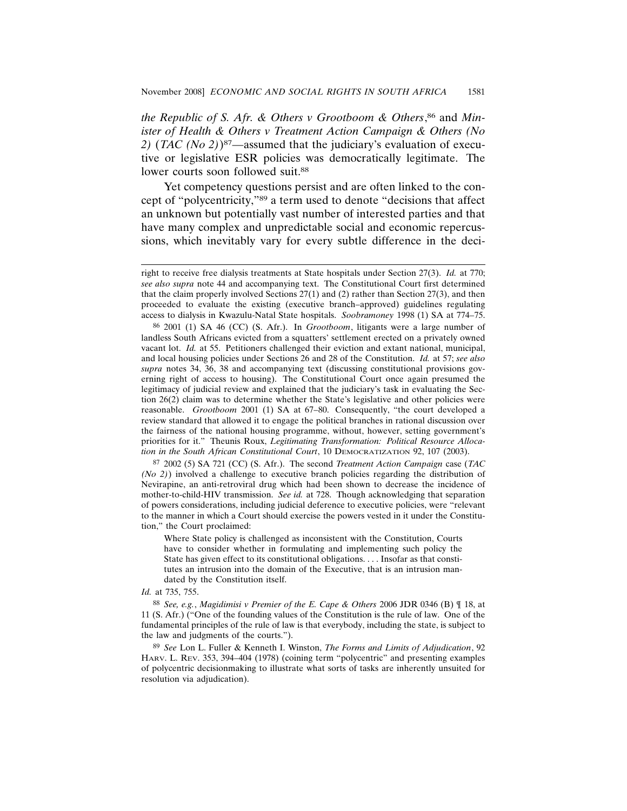*the Republic of S. Afr. & Others v Grootboom & Others*, 86 and *Minister of Health & Others v Treatment Action Campaign & Others (No 2)* (*TAC (No 2)*)87—assumed that the judiciary's evaluation of executive or legislative ESR policies was democratically legitimate. The lower courts soon followed suit.<sup>88</sup>

Yet competency questions persist and are often linked to the concept of "polycentricity,"89 a term used to denote "decisions that affect an unknown but potentially vast number of interested parties and that have many complex and unpredictable social and economic repercussions, which inevitably vary for every subtle difference in the deci-

86 2001 (1) SA 46 (CC) (S. Afr.). In *Grootboom*, litigants were a large number of landless South Africans evicted from a squatters' settlement erected on a privately owned vacant lot. *Id.* at 55. Petitioners challenged their eviction and extant national, municipal, and local housing policies under Sections 26 and 28 of the Constitution. *Id.* at 57; *see also supra* notes 34, 36, 38 and accompanying text (discussing constitutional provisions governing right of access to housing). The Constitutional Court once again presumed the legitimacy of judicial review and explained that the judiciary's task in evaluating the Section 26(2) claim was to determine whether the State's legislative and other policies were reasonable. *Grootboom* 2001 (1) SA at 67–80. Consequently, "the court developed a review standard that allowed it to engage the political branches in rational discussion over the fairness of the national housing programme, without, however, setting government's priorities for it." Theunis Roux, *Legitimating Transformation: Political Resource Allocation in the South African Constitutional Court*, 10 DEMOCRATIZATION 92, 107 (2003).

87 2002 (5) SA 721 (CC) (S. Afr.). The second *Treatment Action Campaign* case (*TAC (No 2)*) involved a challenge to executive branch policies regarding the distribution of Nevirapine, an anti-retroviral drug which had been shown to decrease the incidence of mother-to-child-HIV transmission. *See id.* at 728. Though acknowledging that separation of powers considerations, including judicial deference to executive policies, were "relevant to the manner in which a Court should exercise the powers vested in it under the Constitution," the Court proclaimed:

Where State policy is challenged as inconsistent with the Constitution, Courts have to consider whether in formulating and implementing such policy the State has given effect to its constitutional obligations. . . . Insofar as that constitutes an intrusion into the domain of the Executive, that is an intrusion mandated by the Constitution itself.

#### *Id.* at 735, 755.

88 *See, e.g.*, *Magidimisi v Premier of the E. Cape & Others* 2006 JDR 0346 (B) ¶ 18, at 11 (S. Afr.) ("One of the founding values of the Constitution is the rule of law. One of the fundamental principles of the rule of law is that everybody, including the state, is subject to the law and judgments of the courts.").

89 *See* Lon L. Fuller & Kenneth I. Winston, *The Forms and Limits of Adjudication*, 92 HARV. L. REV. 353, 394–404 (1978) (coining term "polycentric" and presenting examples of polycentric decisionmaking to illustrate what sorts of tasks are inherently unsuited for resolution via adjudication).

right to receive free dialysis treatments at State hospitals under Section 27(3). *Id.* at 770; *see also supra* note 44 and accompanying text. The Constitutional Court first determined that the claim properly involved Sections 27(1) and (2) rather than Section 27(3), and then proceeded to evaluate the existing (executive branch–approved) guidelines regulating access to dialysis in Kwazulu-Natal State hospitals. *Soobramoney* 1998 (1) SA at 774–75.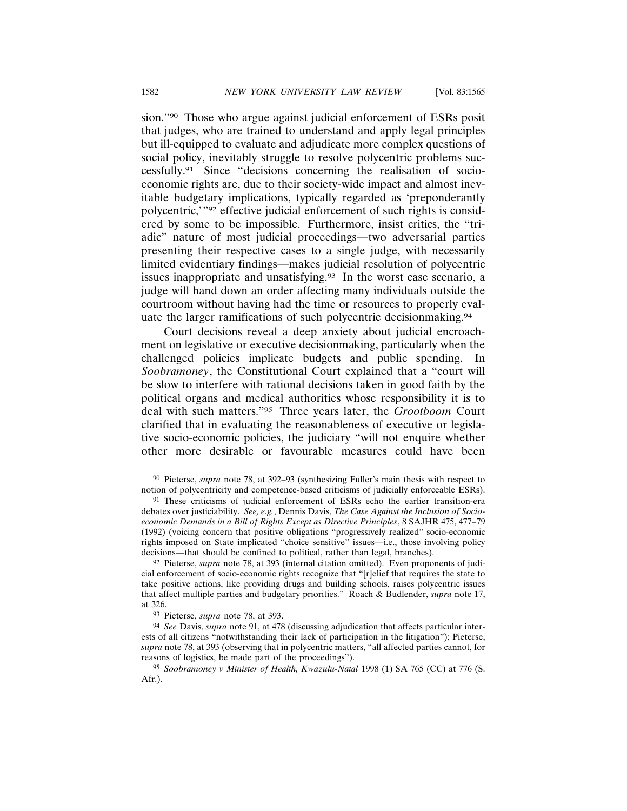sion."90 Those who argue against judicial enforcement of ESRs posit that judges, who are trained to understand and apply legal principles but ill-equipped to evaluate and adjudicate more complex questions of social policy, inevitably struggle to resolve polycentric problems successfully.91 Since "decisions concerning the realisation of socioeconomic rights are, due to their society-wide impact and almost inevitable budgetary implications, typically regarded as 'preponderantly polycentric,'"92 effective judicial enforcement of such rights is considered by some to be impossible. Furthermore, insist critics, the "triadic" nature of most judicial proceedings—two adversarial parties presenting their respective cases to a single judge, with necessarily limited evidentiary findings—makes judicial resolution of polycentric issues inappropriate and unsatisfying.93 In the worst case scenario, a judge will hand down an order affecting many individuals outside the courtroom without having had the time or resources to properly evaluate the larger ramifications of such polycentric decisionmaking.<sup>94</sup>

Court decisions reveal a deep anxiety about judicial encroachment on legislative or executive decisionmaking, particularly when the challenged policies implicate budgets and public spending. In *Soobramoney*, the Constitutional Court explained that a "court will be slow to interfere with rational decisions taken in good faith by the political organs and medical authorities whose responsibility it is to deal with such matters."95 Three years later, the *Grootboom* Court clarified that in evaluating the reasonableness of executive or legislative socio-economic policies, the judiciary "will not enquire whether other more desirable or favourable measures could have been

<sup>90</sup> Pieterse, *supra* note 78, at 392–93 (synthesizing Fuller's main thesis with respect to notion of polycentricity and competence-based criticisms of judicially enforceable ESRs).

<sup>91</sup> These criticisms of judicial enforcement of ESRs echo the earlier transition-era debates over justiciability. *See, e.g.*, Dennis Davis, *The Case Against the Inclusion of Socioeconomic Demands in a Bill of Rights Except as Directive Principles*, 8 SAJHR 475, 477–79 (1992) (voicing concern that positive obligations "progressively realized" socio-economic rights imposed on State implicated "choice sensitive" issues—i.e., those involving policy decisions—that should be confined to political, rather than legal, branches).

<sup>92</sup> Pieterse, *supra* note 78, at 393 (internal citation omitted). Even proponents of judicial enforcement of socio-economic rights recognize that "[r]elief that requires the state to take positive actions, like providing drugs and building schools, raises polycentric issues that affect multiple parties and budgetary priorities." Roach & Budlender, *supra* note 17, at 326.

<sup>93</sup> Pieterse, *supra* note 78, at 393.

<sup>94</sup> *See* Davis, *supra* note 91, at 478 (discussing adjudication that affects particular interests of all citizens "notwithstanding their lack of participation in the litigation"); Pieterse, *supra* note 78, at 393 (observing that in polycentric matters, "all affected parties cannot, for reasons of logistics, be made part of the proceedings").

<sup>95</sup> *Soobramoney v Minister of Health, Kwazulu-Natal* 1998 (1) SA 765 (CC) at 776 (S. Afr.).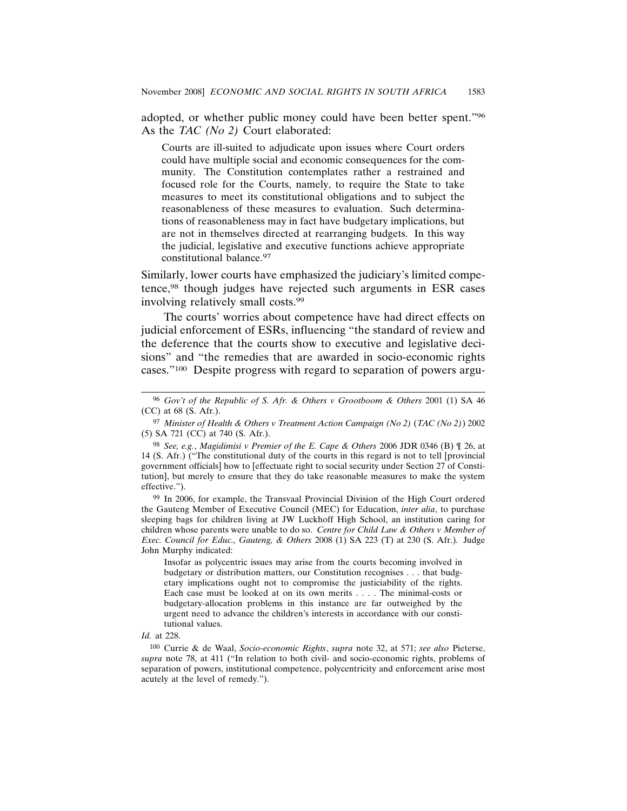adopted, or whether public money could have been better spent."96 As the *TAC (No 2)* Court elaborated:

Courts are ill-suited to adjudicate upon issues where Court orders could have multiple social and economic consequences for the community. The Constitution contemplates rather a restrained and focused role for the Courts, namely, to require the State to take measures to meet its constitutional obligations and to subject the reasonableness of these measures to evaluation. Such determinations of reasonableness may in fact have budgetary implications, but are not in themselves directed at rearranging budgets. In this way the judicial, legislative and executive functions achieve appropriate constitutional balance.97

Similarly, lower courts have emphasized the judiciary's limited competence,98 though judges have rejected such arguments in ESR cases involving relatively small costs.99

The courts' worries about competence have had direct effects on judicial enforcement of ESRs, influencing "the standard of review and the deference that the courts show to executive and legislative decisions" and "the remedies that are awarded in socio-economic rights cases."100 Despite progress with regard to separation of powers argu-

99 In 2006, for example, the Transvaal Provincial Division of the High Court ordered the Gauteng Member of Executive Council (MEC) for Education, *inter alia*, to purchase sleeping bags for children living at JW Luckhoff High School, an institution caring for children whose parents were unable to do so. *Centre for Child Law & Others v Member of Exec. Council for Educ., Gauteng, & Others* 2008 (1) SA 223 (T) at 230 (S. Afr.). Judge John Murphy indicated:

Insofar as polycentric issues may arise from the courts becoming involved in budgetary or distribution matters, our Constitution recognises . . . that budgetary implications ought not to compromise the justiciability of the rights. Each case must be looked at on its own merits . . . . The minimal-costs or budgetary-allocation problems in this instance are far outweighed by the urgent need to advance the children's interests in accordance with our constitutional values.

*Id.* at 228.

100 Currie & de Waal, *Socio-economic Rights*, *supra* note 32, at 571; *see also* Pieterse, *supra* note 78, at 411 ("In relation to both civil- and socio-economic rights, problems of separation of powers, institutional competence, polycentricity and enforcement arise most acutely at the level of remedy.").

<sup>96</sup> *Gov't of the Republic of S. Afr. & Others v Grootboom & Others* 2001 (1) SA 46 (CC) at 68 (S. Afr.).

<sup>97</sup> *Minister of Health & Others v Treatment Action Campaign (No 2)* (*TAC (No 2)*) 2002 (5) SA 721 (CC) at 740 (S. Afr.).

<sup>98</sup> *See, e.g.*, *Magidimisi v Premier of the E. Cape & Others* 2006 JDR 0346 (B) ¶ 26, at 14 (S. Afr.) ("The constitutional duty of the courts in this regard is not to tell [provincial government officials] how to [effectuate right to social security under Section 27 of Constitution], but merely to ensure that they do take reasonable measures to make the system effective.").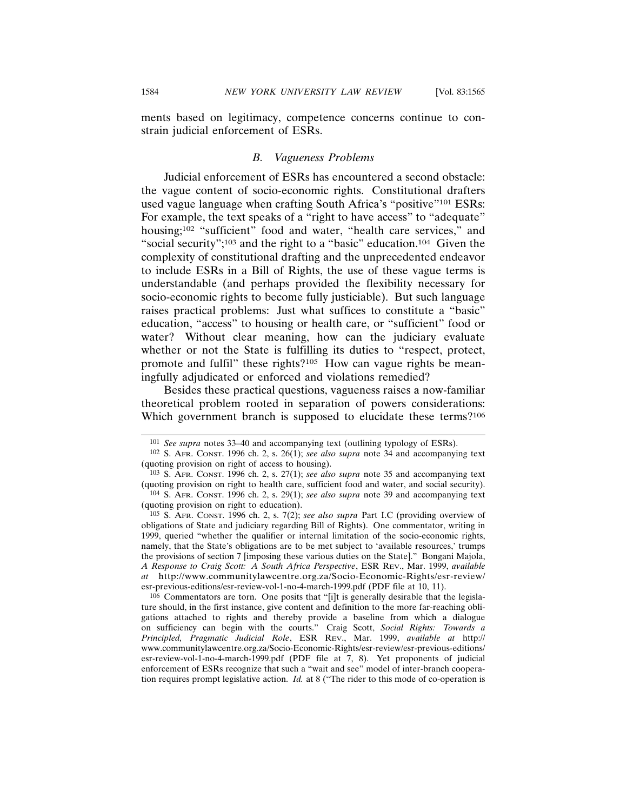ments based on legitimacy, competence concerns continue to constrain judicial enforcement of ESRs.

## *B. Vagueness Problems*

Judicial enforcement of ESRs has encountered a second obstacle: the vague content of socio-economic rights. Constitutional drafters used vague language when crafting South Africa's "positive"101 ESRs: For example, the text speaks of a "right to have access" to "adequate" housing;<sup>102</sup> "sufficient" food and water, "health care services," and "social security";103 and the right to a "basic" education.104 Given the complexity of constitutional drafting and the unprecedented endeavor to include ESRs in a Bill of Rights, the use of these vague terms is understandable (and perhaps provided the flexibility necessary for socio-economic rights to become fully justiciable). But such language raises practical problems: Just what suffices to constitute a "basic" education, "access" to housing or health care, or "sufficient" food or water? Without clear meaning, how can the judiciary evaluate whether or not the State is fulfilling its duties to "respect, protect, promote and fulfil" these rights?105 How can vague rights be meaningfully adjudicated or enforced and violations remedied?

Besides these practical questions, vagueness raises a now-familiar theoretical problem rooted in separation of powers considerations: Which government branch is supposed to elucidate these terms?<sup>106</sup>

<sup>101</sup> *See supra* notes 33–40 and accompanying text (outlining typology of ESRs).

<sup>102</sup> S. AFR. CONST. 1996 ch. 2, s. 26(1); *see also supra* note 34 and accompanying text (quoting provision on right of access to housing).

<sup>103</sup> S. AFR. CONST. 1996 ch. 2, s. 27(1); *see also supra* note 35 and accompanying text (quoting provision on right to health care, sufficient food and water, and social security). 104 S. AFR. CONST. 1996 ch. 2, s. 29(1); *see also supra* note 39 and accompanying text

<sup>(</sup>quoting provision on right to education).

<sup>105</sup> S. AFR. CONST. 1996 ch. 2, s. 7(2); *see also supra* Part I.C (providing overview of obligations of State and judiciary regarding Bill of Rights). One commentator, writing in 1999, queried "whether the qualifier or internal limitation of the socio-economic rights, namely, that the State's obligations are to be met subject to 'available resources,' trumps the provisions of section 7 [imposing these various duties on the State]." Bongani Majola, *A Response to Craig Scott: A South Africa Perspective*, ESR REV., Mar. 1999, *available at* http://www.communitylawcentre.org.za/Socio-Economic-Rights/esr-review/ esr-previous-editions/esr-review-vol-1-no-4-march-1999.pdf (PDF file at 10, 11).

<sup>106</sup> Commentators are torn. One posits that "[i]t is generally desirable that the legislature should, in the first instance, give content and definition to the more far-reaching obligations attached to rights and thereby provide a baseline from which a dialogue on sufficiency can begin with the courts." Craig Scott, *Social Rights: Towards a Principled, Pragmatic Judicial Role*, ESR REV., Mar. 1999, *available at* http:// www.communitylawcentre.org.za/Socio-Economic-Rights/esr-review/esr-previous-editions/ esr-review-vol-1-no-4-march-1999.pdf (PDF file at 7, 8). Yet proponents of judicial enforcement of ESRs recognize that such a "wait and see" model of inter-branch cooperation requires prompt legislative action. *Id.* at 8 ("The rider to this mode of co-operation is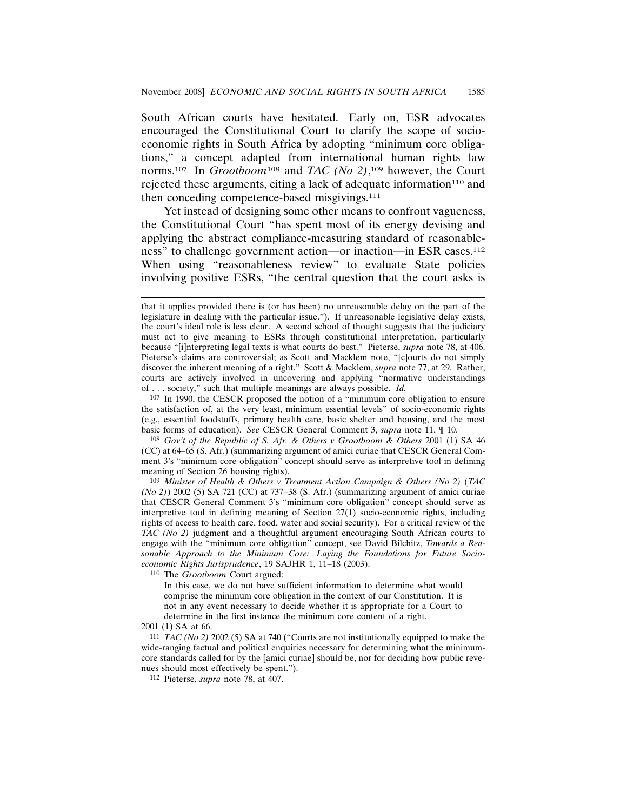South African courts have hesitated. Early on, ESR advocates encouraged the Constitutional Court to clarify the scope of socioeconomic rights in South Africa by adopting "minimum core obligations," a concept adapted from international human rights law norms.107 In *Grootboom*108 and *TAC (No 2)*, 109 however, the Court rejected these arguments, citing a lack of adequate information<sup>110</sup> and then conceding competence-based misgivings.111

Yet instead of designing some other means to confront vagueness, the Constitutional Court "has spent most of its energy devising and applying the abstract compliance-measuring standard of reasonableness" to challenge government action—or inaction—in ESR cases.112 When using "reasonableness review" to evaluate State policies involving positive ESRs, "the central question that the court asks is

108 *Gov't of the Republic of S. Afr. & Others v Grootboom & Others* 2001 (1) SA 46 (CC) at 64–65 (S. Afr.) (summarizing argument of amici curiae that CESCR General Comment 3's "minimum core obligation" concept should serve as interpretive tool in defining meaning of Section 26 housing rights).

109 *Minister of Health & Others v Treatment Action Campaign & Others (No 2)* (*TAC (No 2)*) 2002 (5) SA 721 (CC) at 737–38 (S. Afr.) (summarizing argument of amici curiae that CESCR General Comment 3's "minimum core obligation" concept should serve as interpretive tool in defining meaning of Section 27(1) socio-economic rights, including rights of access to health care, food, water and social security). For a critical review of the *TAC (No 2)* judgment and a thoughtful argument encouraging South African courts to engage with the "minimum core obligation" concept, see David Bilchitz, *Towards a Reasonable Approach to the Minimum Core: Laying the Foundations for Future Socioeconomic Rights Jurisprudence*, 19 SAJHR 1, 11–18 (2003).

110 The *Grootboom* Court argued:

2001 (1) SA at 66.

that it applies provided there is (or has been) no unreasonable delay on the part of the legislature in dealing with the particular issue."). If unreasonable legislative delay exists, the court's ideal role is less clear. A second school of thought suggests that the judiciary must act to give meaning to ESRs through constitutional interpretation, particularly because "[i]nterpreting legal texts is what courts do best." Pieterse, *supra* note 78, at 406. Pieterse's claims are controversial; as Scott and Macklem note, "[c]ourts do not simply discover the inherent meaning of a right." Scott & Macklem, *supra* note 77, at 29. Rather, courts are actively involved in uncovering and applying "normative understandings of . . . society," such that multiple meanings are always possible. *Id.*

<sup>107</sup> In 1990, the CESCR proposed the notion of a "minimum core obligation to ensure the satisfaction of, at the very least, minimum essential levels" of socio-economic rights (e.g., essential foodstuffs, primary health care, basic shelter and housing, and the most basic forms of education). *See* CESCR General Comment 3, *supra* note 11, ¶ 10.

In this case, we do not have sufficient information to determine what would comprise the minimum core obligation in the context of our Constitution. It is not in any event necessary to decide whether it is appropriate for a Court to determine in the first instance the minimum core content of a right.

<sup>111</sup> *TAC (No 2)* 2002 (5) SA at 740 ("Courts are not institutionally equipped to make the wide-ranging factual and political enquiries necessary for determining what the minimumcore standards called for by the [amici curiae] should be, nor for deciding how public revenues should most effectively be spent.").

<sup>112</sup> Pieterse, *supra* note 78, at 407.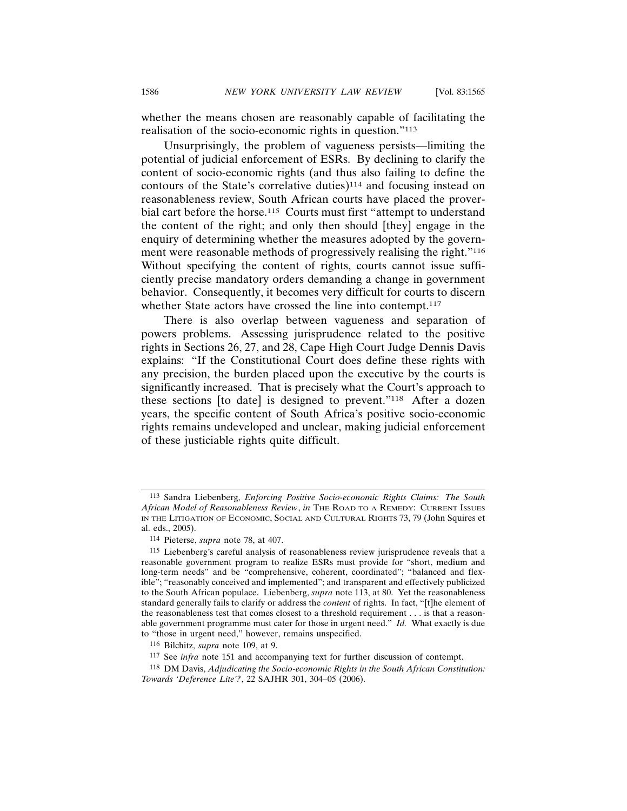whether the means chosen are reasonably capable of facilitating the realisation of the socio-economic rights in question."113

Unsurprisingly, the problem of vagueness persists—limiting the potential of judicial enforcement of ESRs. By declining to clarify the content of socio-economic rights (and thus also failing to define the contours of the State's correlative duties)<sup>114</sup> and focusing instead on reasonableness review, South African courts have placed the proverbial cart before the horse.<sup>115</sup> Courts must first "attempt to understand" the content of the right; and only then should [they] engage in the enquiry of determining whether the measures adopted by the government were reasonable methods of progressively realising the right."116 Without specifying the content of rights, courts cannot issue sufficiently precise mandatory orders demanding a change in government behavior. Consequently, it becomes very difficult for courts to discern whether State actors have crossed the line into contempt.<sup>117</sup>

There is also overlap between vagueness and separation of powers problems. Assessing jurisprudence related to the positive rights in Sections 26, 27, and 28, Cape High Court Judge Dennis Davis explains: "If the Constitutional Court does define these rights with any precision, the burden placed upon the executive by the courts is significantly increased. That is precisely what the Court's approach to these sections [to date] is designed to prevent."118 After a dozen years, the specific content of South Africa's positive socio-economic rights remains undeveloped and unclear, making judicial enforcement of these justiciable rights quite difficult.

<sup>113</sup> Sandra Liebenberg, *Enforcing Positive Socio-economic Rights Claims: The South African Model of Reasonableness Review*, *in* THE ROAD TO A REMEDY: CURRENT ISSUES IN THE LITIGATION OF ECONOMIC, SOCIAL AND CULTURAL RIGHTS 73, 79 (John Squires et al. eds., 2005).

<sup>114</sup> Pieterse, *supra* note 78, at 407.

<sup>115</sup> Liebenberg's careful analysis of reasonableness review jurisprudence reveals that a reasonable government program to realize ESRs must provide for "short, medium and long-term needs" and be "comprehensive, coherent, coordinated"; "balanced and flexible"; "reasonably conceived and implemented"; and transparent and effectively publicized to the South African populace. Liebenberg, *supra* note 113, at 80. Yet the reasonableness standard generally fails to clarify or address the *content* of rights. In fact, "[t]he element of the reasonableness test that comes closest to a threshold requirement . . . is that a reasonable government programme must cater for those in urgent need." *Id.* What exactly is due to "those in urgent need," however, remains unspecified.

<sup>116</sup> Bilchitz, *supra* note 109, at 9.

<sup>117</sup> See *infra* note 151 and accompanying text for further discussion of contempt.

<sup>118</sup> DM Davis, *Adjudicating the Socio-economic Rights in the South African Constitution: Towards 'Deference Lite'?*, 22 SAJHR 301, 304–05 (2006).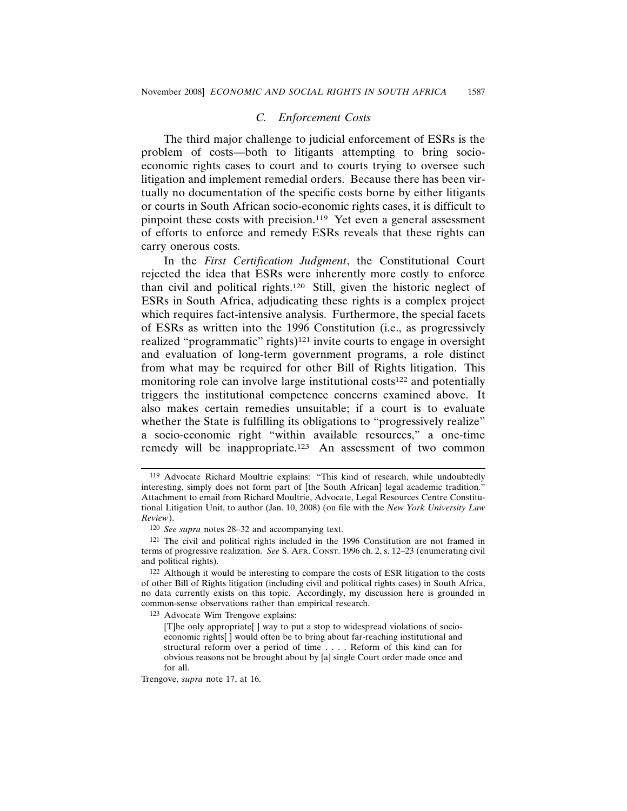#### *C. Enforcement Costs*

The third major challenge to judicial enforcement of ESRs is the problem of costs—both to litigants attempting to bring socioeconomic rights cases to court and to courts trying to oversee such litigation and implement remedial orders. Because there has been virtually no documentation of the specific costs borne by either litigants or courts in South African socio-economic rights cases, it is difficult to pinpoint these costs with precision.<sup>119</sup> Yet even a general assessment of efforts to enforce and remedy ESRs reveals that these rights can carry onerous costs.

In the *First Certification Judgment*, the Constitutional Court rejected the idea that ESRs were inherently more costly to enforce than civil and political rights.120 Still, given the historic neglect of ESRs in South Africa, adjudicating these rights is a complex project which requires fact-intensive analysis. Furthermore, the special facets of ESRs as written into the 1996 Constitution (i.e., as progressively realized "programmatic" rights)<sup>121</sup> invite courts to engage in oversight and evaluation of long-term government programs, a role distinct from what may be required for other Bill of Rights litigation. This monitoring role can involve large institutional costs<sup>122</sup> and potentially triggers the institutional competence concerns examined above. It also makes certain remedies unsuitable; if a court is to evaluate whether the State is fulfilling its obligations to "progressively realize" a socio-economic right "within available resources," a one-time remedy will be inappropriate.123 An assessment of two common

123 Advocate Wim Trengove explains:

<sup>119</sup> Advocate Richard Moultrie explains: "This kind of research, while undoubtedly interesting, simply does not form part of [the South African] legal academic tradition." Attachment to email from Richard Moultrie, Advocate, Legal Resources Centre Constitutional Litigation Unit, to author (Jan. 10, 2008) (on file with the *New York University Law Review*).

<sup>120</sup> *See supra* notes 28–32 and accompanying text.

<sup>121</sup> The civil and political rights included in the 1996 Constitution are not framed in terms of progressive realization. *See* S. AFR. CONST. 1996 ch. 2, s. 12–23 (enumerating civil and political rights).

<sup>122</sup> Although it would be interesting to compare the costs of ESR litigation to the costs of other Bill of Rights litigation (including civil and political rights cases) in South Africa, no data currently exists on this topic. Accordingly, my discussion here is grounded in common-sense observations rather than empirical research.

<sup>[</sup>T]he only appropriate[ ] way to put a stop to widespread violations of socioeconomic rights[ ] would often be to bring about far-reaching institutional and structural reform over a period of time . . . . Reform of this kind can for obvious reasons not be brought about by [a] single Court order made once and for all.

Trengove, *supra* note 17, at 16.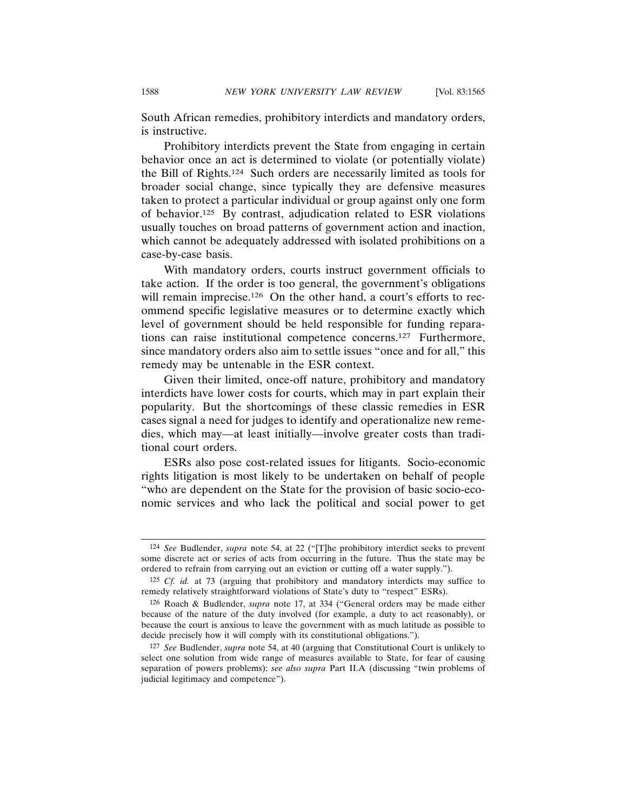South African remedies, prohibitory interdicts and mandatory orders, is instructive.

Prohibitory interdicts prevent the State from engaging in certain behavior once an act is determined to violate (or potentially violate) the Bill of Rights.124 Such orders are necessarily limited as tools for broader social change, since typically they are defensive measures taken to protect a particular individual or group against only one form of behavior.125 By contrast, adjudication related to ESR violations usually touches on broad patterns of government action and inaction, which cannot be adequately addressed with isolated prohibitions on a case-by-case basis.

With mandatory orders, courts instruct government officials to take action. If the order is too general, the government's obligations will remain imprecise.<sup>126</sup> On the other hand, a court's efforts to recommend specific legislative measures or to determine exactly which level of government should be held responsible for funding reparations can raise institutional competence concerns.127 Furthermore, since mandatory orders also aim to settle issues "once and for all," this remedy may be untenable in the ESR context.

Given their limited, once-off nature, prohibitory and mandatory interdicts have lower costs for courts, which may in part explain their popularity. But the shortcomings of these classic remedies in ESR cases signal a need for judges to identify and operationalize new remedies, which may—at least initially—involve greater costs than traditional court orders.

ESRs also pose cost-related issues for litigants. Socio-economic rights litigation is most likely to be undertaken on behalf of people "who are dependent on the State for the provision of basic socio-economic services and who lack the political and social power to get

<sup>124</sup> *See* Budlender, *supra* note 54, at 22 ("[T]he prohibitory interdict seeks to prevent some discrete act or series of acts from occurring in the future. Thus the state may be ordered to refrain from carrying out an eviction or cutting off a water supply.").

<sup>125</sup> *Cf. id.* at 73 (arguing that prohibitory and mandatory interdicts may suffice to remedy relatively straightforward violations of State's duty to "respect" ESRs).

<sup>126</sup> Roach & Budlender, *supra* note 17, at 334 ("General orders may be made either because of the nature of the duty involved (for example, a duty to act reasonably), or because the court is anxious to leave the government with as much latitude as possible to decide precisely how it will comply with its constitutional obligations.").

<sup>127</sup> *See* Budlender, *supra* note 54, at 40 (arguing that Constitutional Court is unlikely to select one solution from wide range of measures available to State, for fear of causing separation of powers problems); *see also supra* Part II.A (discussing "twin problems of judicial legitimacy and competence").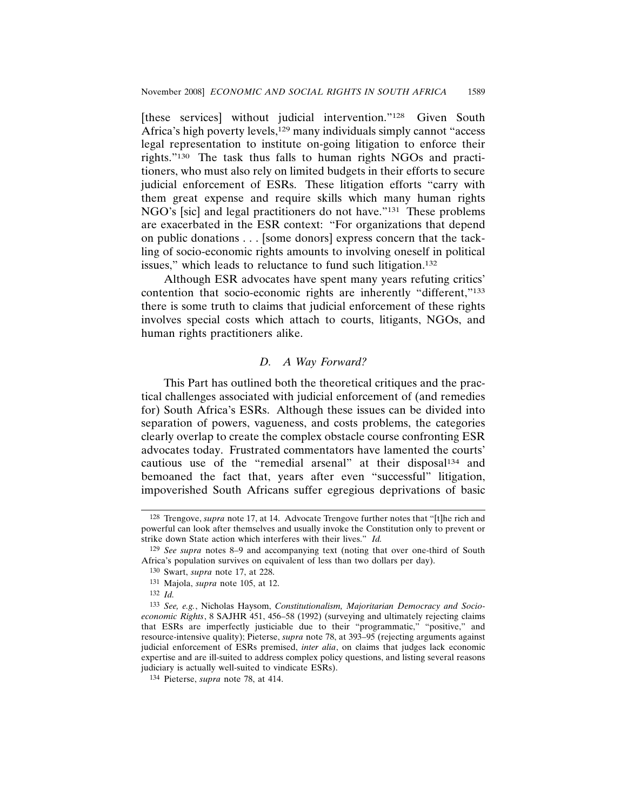[these services] without judicial intervention."<sup>128</sup> Given South Africa's high poverty levels,<sup>129</sup> many individuals simply cannot "access" legal representation to institute on-going litigation to enforce their rights."130 The task thus falls to human rights NGOs and practitioners, who must also rely on limited budgets in their efforts to secure judicial enforcement of ESRs. These litigation efforts "carry with them great expense and require skills which many human rights NGO's [sic] and legal practitioners do not have."131 These problems are exacerbated in the ESR context: "For organizations that depend on public donations . . . [some donors] express concern that the tackling of socio-economic rights amounts to involving oneself in political issues," which leads to reluctance to fund such litigation.<sup>132</sup>

Although ESR advocates have spent many years refuting critics' contention that socio-economic rights are inherently "different,"133 there is some truth to claims that judicial enforcement of these rights involves special costs which attach to courts, litigants, NGOs, and human rights practitioners alike.

# *D. A Way Forward?*

This Part has outlined both the theoretical critiques and the practical challenges associated with judicial enforcement of (and remedies for) South Africa's ESRs. Although these issues can be divided into separation of powers, vagueness, and costs problems, the categories clearly overlap to create the complex obstacle course confronting ESR advocates today. Frustrated commentators have lamented the courts' cautious use of the "remedial arsenal" at their disposal<sup>134</sup> and bemoaned the fact that, years after even "successful" litigation, impoverished South Africans suffer egregious deprivations of basic

<sup>128</sup> Trengove, *supra* note 17, at 14. Advocate Trengove further notes that "[t]he rich and powerful can look after themselves and usually invoke the Constitution only to prevent or strike down State action which interferes with their lives." *Id.*

<sup>129</sup> *See supra* notes 8–9 and accompanying text (noting that over one-third of South Africa's population survives on equivalent of less than two dollars per day).

<sup>130</sup> Swart, *supra* note 17, at 228.

<sup>131</sup> Majola, *supra* note 105, at 12.

<sup>132</sup> *Id.*

<sup>133</sup> *See, e.g.*, Nicholas Haysom, *Constitutionalism, Majoritarian Democracy and Socioeconomic Rights*, 8 SAJHR 451, 456–58 (1992) (surveying and ultimately rejecting claims that ESRs are imperfectly justiciable due to their "programmatic," "positive," and resource-intensive quality); Pieterse, *supra* note 78, at 393–95 (rejecting arguments against judicial enforcement of ESRs premised, *inter alia*, on claims that judges lack economic expertise and are ill-suited to address complex policy questions, and listing several reasons judiciary is actually well-suited to vindicate ESRs).

<sup>134</sup> Pieterse, *supra* note 78, at 414.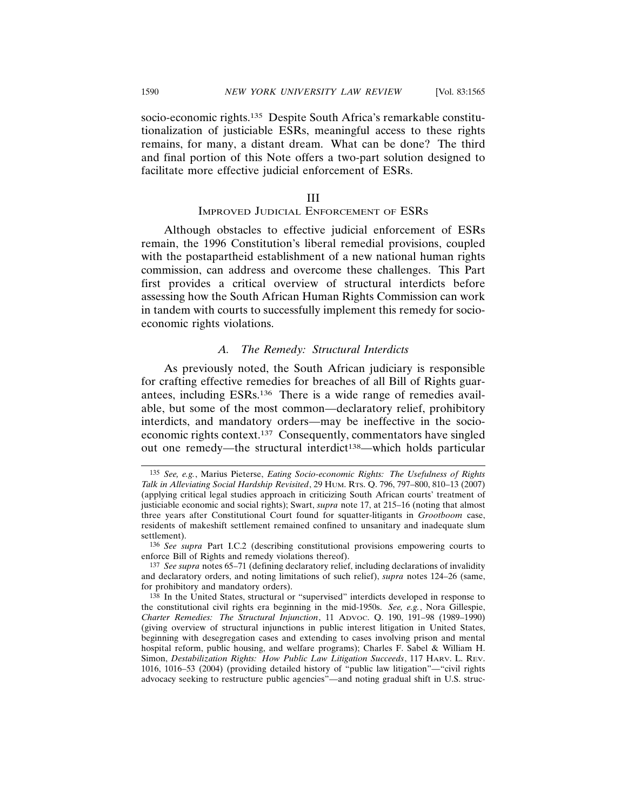socio-economic rights.<sup>135</sup> Despite South Africa's remarkable constitutionalization of justiciable ESRs, meaningful access to these rights remains, for many, a distant dream. What can be done? The third and final portion of this Note offers a two-part solution designed to facilitate more effective judicial enforcement of ESRs.

#### III

## IMPROVED JUDICIAL ENFORCEMENT OF ESRS

Although obstacles to effective judicial enforcement of ESRs remain, the 1996 Constitution's liberal remedial provisions, coupled with the postapartheid establishment of a new national human rights commission, can address and overcome these challenges. This Part first provides a critical overview of structural interdicts before assessing how the South African Human Rights Commission can work in tandem with courts to successfully implement this remedy for socioeconomic rights violations.

#### *A. The Remedy: Structural Interdicts*

As previously noted, the South African judiciary is responsible for crafting effective remedies for breaches of all Bill of Rights guarantees, including ESRs.136 There is a wide range of remedies available, but some of the most common—declaratory relief, prohibitory interdicts, and mandatory orders—may be ineffective in the socioeconomic rights context.137 Consequently, commentators have singled out one remedy—the structural interdict<sup>138</sup>—which holds particular

<sup>135</sup> *See, e.g.*, Marius Pieterse, *Eating Socio-economic Rights: The Usefulness of Rights Talk in Alleviating Social Hardship Revisited*, 29 HUM. RTS. Q. 796, 797–800, 810–13 (2007) (applying critical legal studies approach in criticizing South African courts' treatment of justiciable economic and social rights); Swart, *supra* note 17, at 215–16 (noting that almost three years after Constitutional Court found for squatter-litigants in *Grootboom* case, residents of makeshift settlement remained confined to unsanitary and inadequate slum settlement).

<sup>136</sup> *See supra* Part I.C.2 (describing constitutional provisions empowering courts to enforce Bill of Rights and remedy violations thereof).

<sup>137</sup> *See supra* notes 65–71 (defining declaratory relief, including declarations of invalidity and declaratory orders, and noting limitations of such relief), *supra* notes 124–26 (same, for prohibitory and mandatory orders).

<sup>138</sup> In the United States, structural or "supervised" interdicts developed in response to the constitutional civil rights era beginning in the mid-1950s. *See, e.g.*, Nora Gillespie, *Charter Remedies: The Structural Injunction*, 11 ADVOC. Q. 190, 191–98 (1989–1990) (giving overview of structural injunctions in public interest litigation in United States, beginning with desegregation cases and extending to cases involving prison and mental hospital reform, public housing, and welfare programs); Charles F. Sabel & William H. Simon, *Destabilization Rights: How Public Law Litigation Succeeds*, 117 HARV. L. REV. 1016, 1016–53 (2004) (providing detailed history of "public law litigation"—"civil rights advocacy seeking to restructure public agencies"—and noting gradual shift in U.S. struc-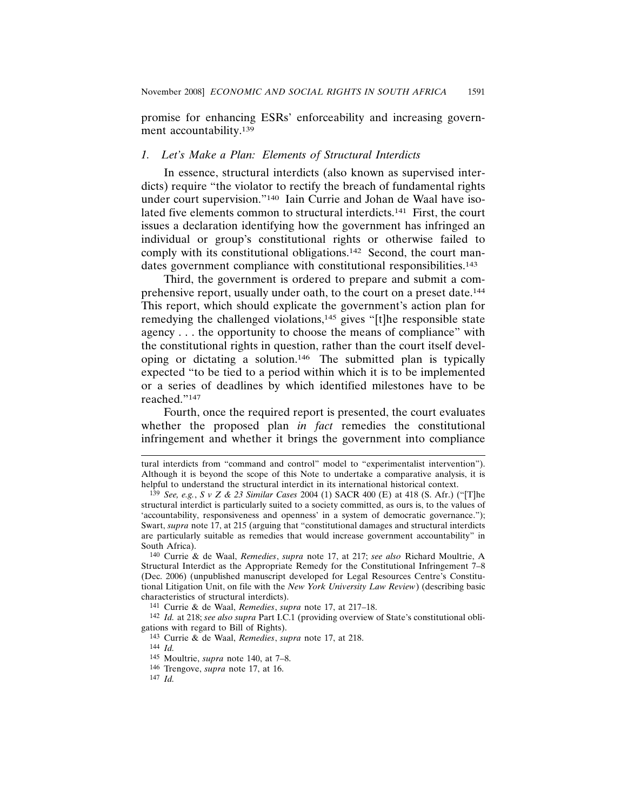promise for enhancing ESRs' enforceability and increasing government accountability.139

## *1. Let's Make a Plan: Elements of Structural Interdicts*

In essence, structural interdicts (also known as supervised interdicts) require "the violator to rectify the breach of fundamental rights under court supervision."140 Iain Currie and Johan de Waal have isolated five elements common to structural interdicts.141 First, the court issues a declaration identifying how the government has infringed an individual or group's constitutional rights or otherwise failed to comply with its constitutional obligations.142 Second, the court mandates government compliance with constitutional responsibilities.<sup>143</sup>

Third, the government is ordered to prepare and submit a comprehensive report, usually under oath, to the court on a preset date.144 This report, which should explicate the government's action plan for remedying the challenged violations,145 gives "[t]he responsible state agency . . . the opportunity to choose the means of compliance" with the constitutional rights in question, rather than the court itself developing or dictating a solution.146 The submitted plan is typically expected "to be tied to a period within which it is to be implemented or a series of deadlines by which identified milestones have to be reached."147

Fourth, once the required report is presented, the court evaluates whether the proposed plan *in fact* remedies the constitutional infringement and whether it brings the government into compliance

146 Trengove, *supra* note 17, at 16.

tural interdicts from "command and control" model to "experimentalist intervention"). Although it is beyond the scope of this Note to undertake a comparative analysis, it is helpful to understand the structural interdict in its international historical context.

<sup>139</sup> *See, e.g.*, *S v Z & 23 Similar Cases* 2004 (1) SACR 400 (E) at 418 (S. Afr.) ("[T]he structural interdict is particularly suited to a society committed, as ours is, to the values of 'accountability, responsiveness and openness' in a system of democratic governance."); Swart, *supra* note 17, at 215 (arguing that "constitutional damages and structural interdicts are particularly suitable as remedies that would increase government accountability" in South Africa).

<sup>140</sup> Currie & de Waal, *Remedies*, *supra* note 17, at 217; *see also* Richard Moultrie, A Structural Interdict as the Appropriate Remedy for the Constitutional Infringement 7–8 (Dec. 2006) (unpublished manuscript developed for Legal Resources Centre's Constitutional Litigation Unit, on file with the *New York University Law Review*) (describing basic characteristics of structural interdicts).

<sup>141</sup> Currie & de Waal, *Remedies*, *supra* note 17, at 217–18.

<sup>142</sup> *Id.* at 218; *see also supra* Part I.C.1 (providing overview of State's constitutional obligations with regard to Bill of Rights).

<sup>143</sup> Currie & de Waal, *Remedies*, *supra* note 17, at 218.

<sup>144</sup> *Id.*

<sup>145</sup> Moultrie, *supra* note 140, at 7–8.

<sup>147</sup> *Id.*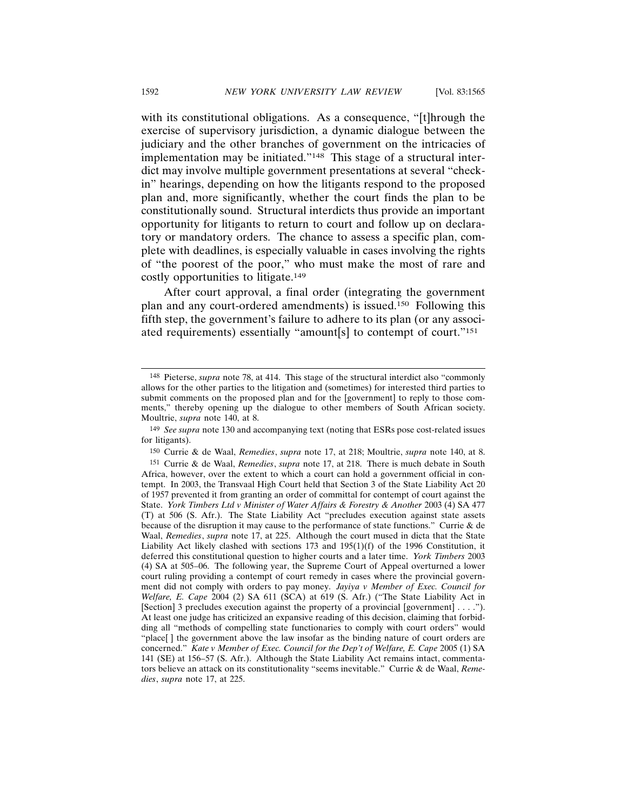with its constitutional obligations. As a consequence, "[t]hrough the exercise of supervisory jurisdiction, a dynamic dialogue between the judiciary and the other branches of government on the intricacies of implementation may be initiated."148 This stage of a structural interdict may involve multiple government presentations at several "checkin" hearings, depending on how the litigants respond to the proposed plan and, more significantly, whether the court finds the plan to be constitutionally sound. Structural interdicts thus provide an important opportunity for litigants to return to court and follow up on declaratory or mandatory orders. The chance to assess a specific plan, complete with deadlines, is especially valuable in cases involving the rights of "the poorest of the poor," who must make the most of rare and costly opportunities to litigate.149

After court approval, a final order (integrating the government plan and any court-ordered amendments) is issued.150 Following this fifth step, the government's failure to adhere to its plan (or any associated requirements) essentially "amount[s] to contempt of court."151

150 Currie & de Waal, *Remedies*, *supra* note 17, at 218; Moultrie, *supra* note 140, at 8.

<sup>148</sup> Pieterse, *supra* note 78, at 414. This stage of the structural interdict also "commonly allows for the other parties to the litigation and (sometimes) for interested third parties to submit comments on the proposed plan and for the [government] to reply to those comments," thereby opening up the dialogue to other members of South African society. Moultrie, *supra* note 140, at 8.

<sup>149</sup> *See supra* note 130 and accompanying text (noting that ESRs pose cost-related issues for litigants).

<sup>151</sup> Currie & de Waal, *Remedies*, *supra* note 17, at 218. There is much debate in South Africa, however, over the extent to which a court can hold a government official in contempt. In 2003, the Transvaal High Court held that Section 3 of the State Liability Act 20 of 1957 prevented it from granting an order of committal for contempt of court against the State. *York Timbers Ltd v Minister of Water Affairs & Forestry & Another* 2003 (4) SA 477 (T) at 506 (S. Afr.). The State Liability Act "precludes execution against state assets because of the disruption it may cause to the performance of state functions." Currie & de Waal, *Remedies*, *supra* note 17, at 225. Although the court mused in dicta that the State Liability Act likely clashed with sections 173 and  $195(1)(f)$  of the 1996 Constitution, it deferred this constitutional question to higher courts and a later time. *York Timbers* 2003 (4) SA at 505–06. The following year, the Supreme Court of Appeal overturned a lower court ruling providing a contempt of court remedy in cases where the provincial government did not comply with orders to pay money. *Jayiya v Member of Exec. Council for Welfare, E. Cape* 2004 (2) SA 611 (SCA) at 619 (S. Afr.) ("The State Liability Act in [Section] 3 precludes execution against the property of a provincial [government] . . . ."). At least one judge has criticized an expansive reading of this decision, claiming that forbidding all "methods of compelling state functionaries to comply with court orders" would "place[ ] the government above the law insofar as the binding nature of court orders are concerned." *Kate v Member of Exec. Council for the Dep't of Welfare, E. Cape* 2005 (1) SA 141 (SE) at 156–57 (S. Afr.). Although the State Liability Act remains intact, commentators believe an attack on its constitutionality "seems inevitable." Currie & de Waal, *Remedies*, *supra* note 17, at 225.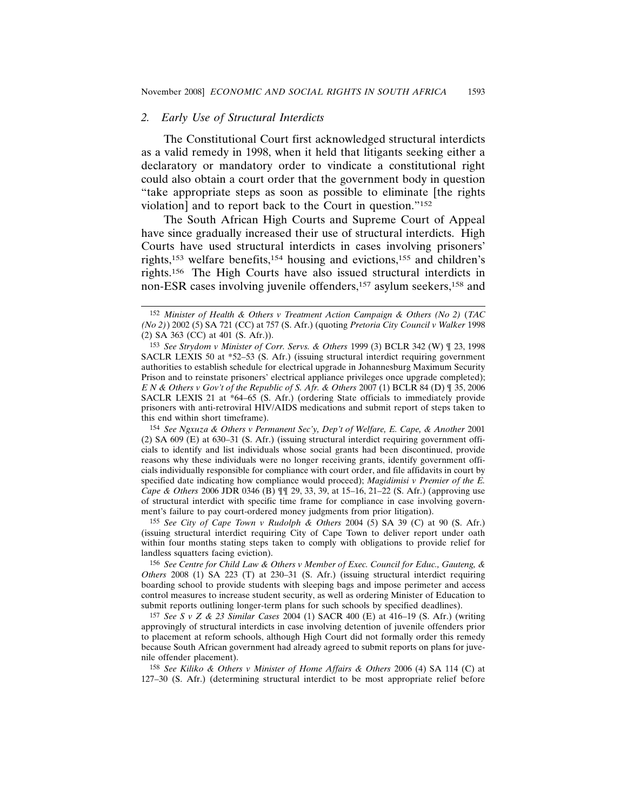## *2. Early Use of Structural Interdicts*

The Constitutional Court first acknowledged structural interdicts as a valid remedy in 1998, when it held that litigants seeking either a declaratory or mandatory order to vindicate a constitutional right could also obtain a court order that the government body in question "take appropriate steps as soon as possible to eliminate [the rights violation] and to report back to the Court in question."152

The South African High Courts and Supreme Court of Appeal have since gradually increased their use of structural interdicts. High Courts have used structural interdicts in cases involving prisoners' rights,153 welfare benefits,154 housing and evictions,155 and children's rights.156 The High Courts have also issued structural interdicts in non-ESR cases involving juvenile offenders,157 asylum seekers,158 and

154 *See Ngxuza & Others v Permanent Sec'y, Dep't of Welfare, E. Cape, & Another* 2001 (2) SA 609 (E) at 630–31 (S. Afr.) (issuing structural interdict requiring government officials to identify and list individuals whose social grants had been discontinued, provide reasons why these individuals were no longer receiving grants, identify government officials individually responsible for compliance with court order, and file affidavits in court by specified date indicating how compliance would proceed); *Magidimisi v Premier of the E. Cape & Others* 2006 JDR 0346 (B) ¶¶ 29, 33, 39, at 15–16, 21–22 (S. Afr.) (approving use of structural interdict with specific time frame for compliance in case involving government's failure to pay court-ordered money judgments from prior litigation).

155 *See City of Cape Town v Rudolph & Others* 2004 (5) SA 39 (C) at 90 (S. Afr.) (issuing structural interdict requiring City of Cape Town to deliver report under oath within four months stating steps taken to comply with obligations to provide relief for landless squatters facing eviction).

156 *See Centre for Child Law & Others v Member of Exec. Council for Educ., Gauteng, & Others* 2008 (1) SA 223 (T) at 230–31 (S. Afr.) (issuing structural interdict requiring boarding school to provide students with sleeping bags and impose perimeter and access control measures to increase student security, as well as ordering Minister of Education to submit reports outlining longer-term plans for such schools by specified deadlines).

157 *See S v Z & 23 Similar Cases* 2004 (1) SACR 400 (E) at 416–19 (S. Afr.) (writing approvingly of structural interdicts in case involving detention of juvenile offenders prior to placement at reform schools, although High Court did not formally order this remedy because South African government had already agreed to submit reports on plans for juvenile offender placement).

158 *See Kiliko & Others v Minister of Home Affairs & Others* 2006 (4) SA 114 (C) at 127–30 (S. Afr.) (determining structural interdict to be most appropriate relief before

<sup>152</sup> *Minister of Health & Others v Treatment Action Campaign & Others (No 2)* (*TAC (No 2)*) 2002 (5) SA 721 (CC) at 757 (S. Afr.) (quoting *Pretoria City Council v Walker* 1998 (2) SA 363 (CC) at 401 (S. Afr.)).

<sup>153</sup> *See Strydom v Minister of Corr. Servs. & Others* 1999 (3) BCLR 342 (W) ¶ 23, 1998 SACLR LEXIS 50 at \*52–53 (S. Afr.) (issuing structural interdict requiring government authorities to establish schedule for electrical upgrade in Johannesburg Maximum Security Prison and to reinstate prisoners' electrical appliance privileges once upgrade completed); *E N & Others v Gov't of the Republic of S. Afr. & Others* 2007 (1) BCLR 84 (D) ¶ 35, 2006 SACLR LEXIS 21 at \*64–65 (S. Afr.) (ordering State officials to immediately provide prisoners with anti-retroviral HIV/AIDS medications and submit report of steps taken to this end within short timeframe).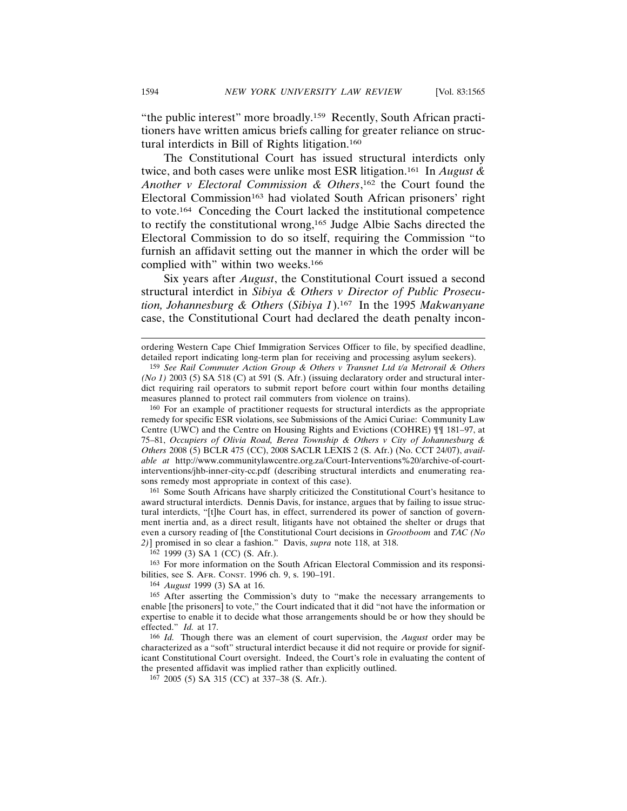"the public interest" more broadly.159 Recently, South African practitioners have written amicus briefs calling for greater reliance on structural interdicts in Bill of Rights litigation.160

The Constitutional Court has issued structural interdicts only twice, and both cases were unlike most ESR litigation.161 In *August & Another v Electoral Commission & Others*, 162 the Court found the Electoral Commission<sup>163</sup> had violated South African prisoners' right to vote.164 Conceding the Court lacked the institutional competence to rectify the constitutional wrong,165 Judge Albie Sachs directed the Electoral Commission to do so itself, requiring the Commission "to furnish an affidavit setting out the manner in which the order will be complied with" within two weeks.<sup>166</sup>

Six years after *August*, the Constitutional Court issued a second structural interdict in *Sibiya & Others v Director of Public Prosecution, Johannesburg & Others* (*Sibiya 1*).167 In the 1995 *Makwanyane* case, the Constitutional Court had declared the death penalty incon-

160 For an example of practitioner requests for structural interdicts as the appropriate remedy for specific ESR violations, see Submissions of the Amici Curiae: Community Law Centre (UWC) and the Centre on Housing Rights and Evictions (COHRE) ¶¶ 181–97, at 75–81, *Occupiers of Olivia Road, Berea Township & Others v City of Johannesburg & Others* 2008 (5) BCLR 475 (CC), 2008 SACLR LEXIS 2 (S. Afr.) (No. CCT 24/07), *available at* http://www.communitylawcentre.org.za/Court-Interventions%20/archive-of-courtinterventions/jhb-inner-city-cc.pdf (describing structural interdicts and enumerating reasons remedy most appropriate in context of this case).

161 Some South Africans have sharply criticized the Constitutional Court's hesitance to award structural interdicts. Dennis Davis, for instance, argues that by failing to issue structural interdicts, "[t]he Court has, in effect, surrendered its power of sanction of government inertia and, as a direct result, litigants have not obtained the shelter or drugs that even a cursory reading of [the Constitutional Court decisions in *Grootboom* and *TAC (No 2)*] promised in so clear a fashion." Davis, *supra* note 118, at 318.

162 1999 (3) SA 1 (CC) (S. Afr.).

163 For more information on the South African Electoral Commission and its responsibilities, see S. AFR. CONST. 1996 ch. 9, s. 190–191.

164 *August* 1999 (3) SA at 16.

166 *Id.* Though there was an element of court supervision, the *August* order may be characterized as a "soft" structural interdict because it did not require or provide for significant Constitutional Court oversight. Indeed, the Court's role in evaluating the content of the presented affidavit was implied rather than explicitly outlined.

167 2005 (5) SA 315 (CC) at 337–38 (S. Afr.).

ordering Western Cape Chief Immigration Services Officer to file, by specified deadline, detailed report indicating long-term plan for receiving and processing asylum seekers).

<sup>159</sup> *See Rail Commuter Action Group & Others v Transnet Ltd t/a Metrorail & Others (No 1)* 2003 (5) SA 518 (C) at 591 (S. Afr.) (issuing declaratory order and structural interdict requiring rail operators to submit report before court within four months detailing measures planned to protect rail commuters from violence on trains).

<sup>165</sup> After asserting the Commission's duty to "make the necessary arrangements to enable [the prisoners] to vote," the Court indicated that it did "not have the information or expertise to enable it to decide what those arrangements should be or how they should be effected." *Id.* at 17.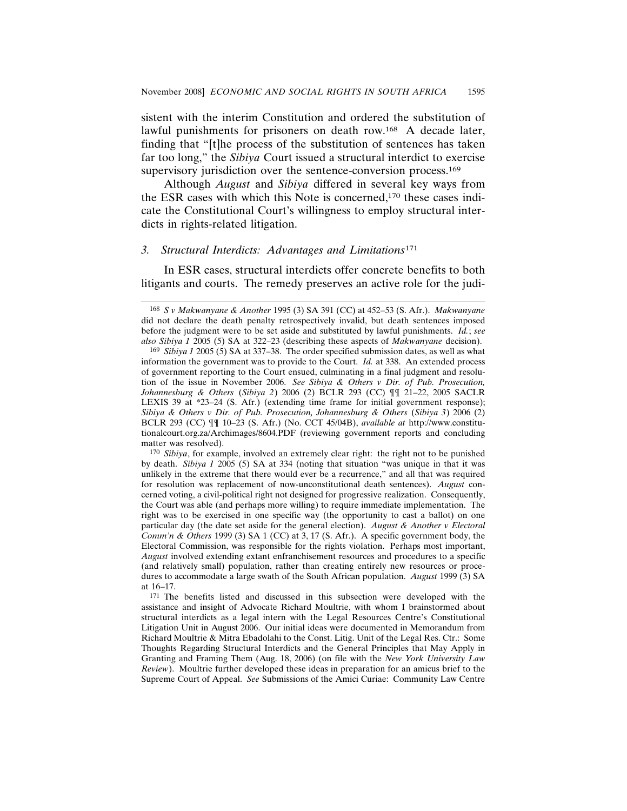sistent with the interim Constitution and ordered the substitution of lawful punishments for prisoners on death row.168 A decade later, finding that "[t]he process of the substitution of sentences has taken far too long," the *Sibiya* Court issued a structural interdict to exercise supervisory jurisdiction over the sentence-conversion process.<sup>169</sup>

Although *August* and *Sibiya* differed in several key ways from the ESR cases with which this Note is concerned,170 these cases indicate the Constitutional Court's willingness to employ structural interdicts in rights-related litigation.

#### *3. Structural Interdicts: Advantages and Limitations*<sup>171</sup>

In ESR cases, structural interdicts offer concrete benefits to both litigants and courts. The remedy preserves an active role for the judi-

170 *Sibiya*, for example, involved an extremely clear right: the right not to be punished by death. *Sibiya 1* 2005 (5) SA at 334 (noting that situation "was unique in that it was unlikely in the extreme that there would ever be a recurrence," and all that was required for resolution was replacement of now-unconstitutional death sentences). *August* concerned voting, a civil-political right not designed for progressive realization. Consequently, the Court was able (and perhaps more willing) to require immediate implementation. The right was to be exercised in one specific way (the opportunity to cast a ballot) on one particular day (the date set aside for the general election). *August & Another v Electoral Comm'n & Others* 1999 (3) SA 1 (CC) at 3, 17 (S. Afr.). A specific government body, the Electoral Commission, was responsible for the rights violation. Perhaps most important, *August* involved extending extant enfranchisement resources and procedures to a specific (and relatively small) population, rather than creating entirely new resources or procedures to accommodate a large swath of the South African population. *August* 1999 (3) SA at 16–17.

171 The benefits listed and discussed in this subsection were developed with the assistance and insight of Advocate Richard Moultrie, with whom I brainstormed about structural interdicts as a legal intern with the Legal Resources Centre's Constitutional Litigation Unit in August 2006. Our initial ideas were documented in Memorandum from Richard Moultrie & Mitra Ebadolahi to the Const. Litig. Unit of the Legal Res. Ctr.: Some Thoughts Regarding Structural Interdicts and the General Principles that May Apply in Granting and Framing Them (Aug. 18, 2006) (on file with the *New York University Law Review*). Moultrie further developed these ideas in preparation for an amicus brief to the Supreme Court of Appeal. *See* Submissions of the Amici Curiae: Community Law Centre

<sup>168</sup> *S v Makwanyane & Another* 1995 (3) SA 391 (CC) at 452–53 (S. Afr.). *Makwanyane* did not declare the death penalty retrospectively invalid, but death sentences imposed before the judgment were to be set aside and substituted by lawful punishments. *Id.*; *see also Sibiya 1* 2005 (5) SA at 322–23 (describing these aspects of *Makwanyane* decision).

<sup>169</sup> *Sibiya 1* 2005 (5) SA at 337–38. The order specified submission dates, as well as what information the government was to provide to the Court. *Id.* at 338. An extended process of government reporting to the Court ensued, culminating in a final judgment and resolution of the issue in November 2006. *See Sibiya & Others v Dir. of Pub. Prosecution, Johannesburg & Others* (*Sibiya 2*) 2006 (2) BCLR 293 (CC) ¶¶ 21–22, 2005 SACLR LEXIS 39 at \*23–24 (S. Afr.) (extending time frame for initial government response); *Sibiya & Others v Dir. of Pub. Prosecution, Johannesburg & Others* (*Sibiya 3*) 2006 (2) BCLR 293 (CC) ¶¶ 10–23 (S. Afr.) (No. CCT 45/04B), *available at* http://www.constitutionalcourt.org.za/Archimages/8604.PDF (reviewing government reports and concluding matter was resolved).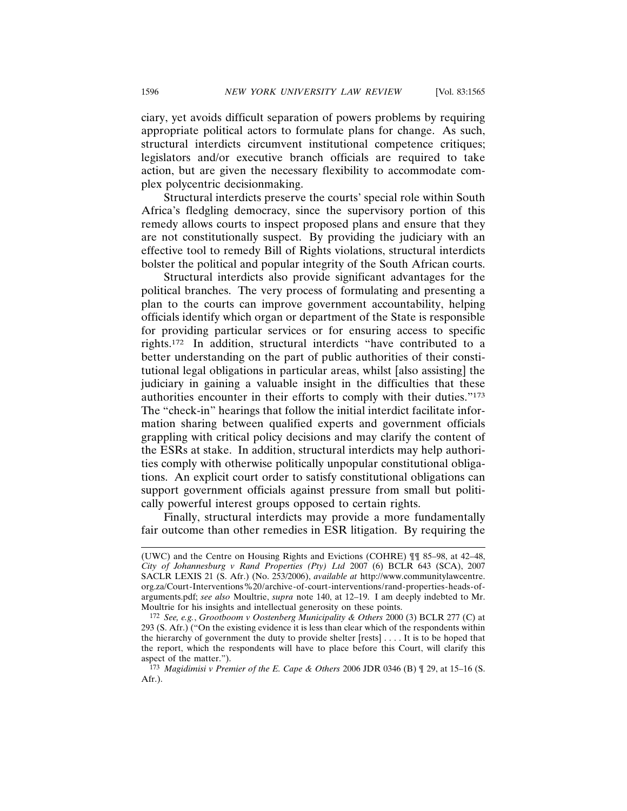ciary, yet avoids difficult separation of powers problems by requiring appropriate political actors to formulate plans for change. As such, structural interdicts circumvent institutional competence critiques; legislators and/or executive branch officials are required to take action, but are given the necessary flexibility to accommodate complex polycentric decisionmaking.

Structural interdicts preserve the courts' special role within South Africa's fledgling democracy, since the supervisory portion of this remedy allows courts to inspect proposed plans and ensure that they are not constitutionally suspect. By providing the judiciary with an effective tool to remedy Bill of Rights violations, structural interdicts bolster the political and popular integrity of the South African courts.

Structural interdicts also provide significant advantages for the political branches. The very process of formulating and presenting a plan to the courts can improve government accountability, helping officials identify which organ or department of the State is responsible for providing particular services or for ensuring access to specific rights.172 In addition, structural interdicts "have contributed to a better understanding on the part of public authorities of their constitutional legal obligations in particular areas, whilst [also assisting] the judiciary in gaining a valuable insight in the difficulties that these authorities encounter in their efforts to comply with their duties."173 The "check-in" hearings that follow the initial interdict facilitate information sharing between qualified experts and government officials grappling with critical policy decisions and may clarify the content of the ESRs at stake. In addition, structural interdicts may help authorities comply with otherwise politically unpopular constitutional obligations. An explicit court order to satisfy constitutional obligations can support government officials against pressure from small but politically powerful interest groups opposed to certain rights.

Finally, structural interdicts may provide a more fundamentally fair outcome than other remedies in ESR litigation. By requiring the

<sup>(</sup>UWC) and the Centre on Housing Rights and Evictions (COHRE) ¶¶ 85–98, at 42–48, *City of Johannesburg v Rand Properties (Pty) Ltd* 2007 (6) BCLR 643 (SCA), 2007 SACLR LEXIS 21 (S. Afr.) (No. 253/2006), *available at* http://www.communitylawcentre. org.za/Court-Interventions%20/archive-of-court-interventions/rand-properties-heads-ofarguments.pdf; *see also* Moultrie, *supra* note 140, at 12–19. I am deeply indebted to Mr. Moultrie for his insights and intellectual generosity on these points.

<sup>172</sup> *See, e.g.*, *Grootboom v Oostenberg Municipality & Others* 2000 (3) BCLR 277 (C) at 293 (S. Afr.) ("On the existing evidence it is less than clear which of the respondents within the hierarchy of government the duty to provide shelter [rests] . . . . It is to be hoped that the report, which the respondents will have to place before this Court, will clarify this aspect of the matter.").

<sup>173</sup> *Magidimisi v Premier of the E. Cape & Others* 2006 JDR 0346 (B) ¶ 29, at 15–16 (S. Afr.).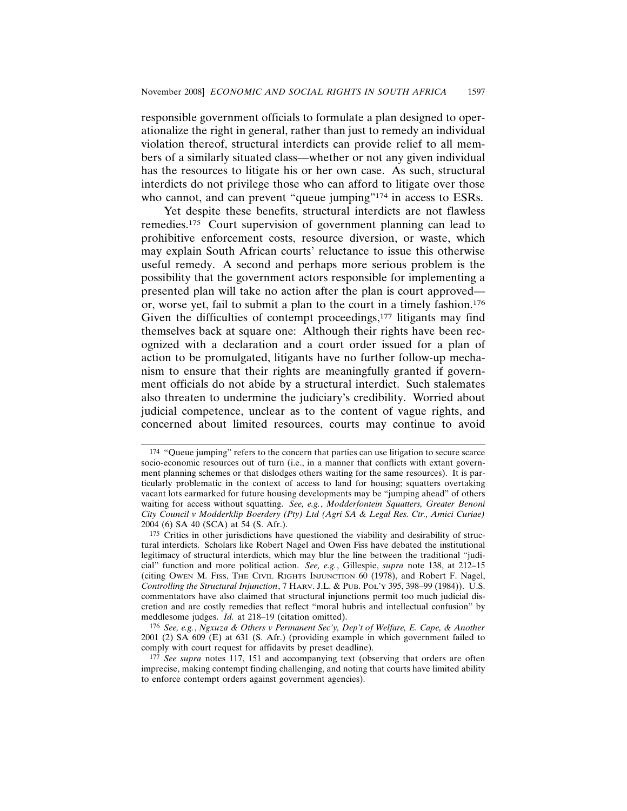responsible government officials to formulate a plan designed to operationalize the right in general, rather than just to remedy an individual violation thereof, structural interdicts can provide relief to all members of a similarly situated class—whether or not any given individual has the resources to litigate his or her own case. As such, structural interdicts do not privilege those who can afford to litigate over those who cannot, and can prevent "queue jumping"<sup>174</sup> in access to ESRs.

Yet despite these benefits, structural interdicts are not flawless remedies.175 Court supervision of government planning can lead to prohibitive enforcement costs, resource diversion, or waste, which may explain South African courts' reluctance to issue this otherwise useful remedy. A second and perhaps more serious problem is the possibility that the government actors responsible for implementing a presented plan will take no action after the plan is court approved or, worse yet, fail to submit a plan to the court in a timely fashion.176 Given the difficulties of contempt proceedings,<sup>177</sup> litigants may find themselves back at square one: Although their rights have been recognized with a declaration and a court order issued for a plan of action to be promulgated, litigants have no further follow-up mechanism to ensure that their rights are meaningfully granted if government officials do not abide by a structural interdict. Such stalemates also threaten to undermine the judiciary's credibility. Worried about judicial competence, unclear as to the content of vague rights, and concerned about limited resources, courts may continue to avoid

<sup>174</sup> "Queue jumping" refers to the concern that parties can use litigation to secure scarce socio-economic resources out of turn (i.e., in a manner that conflicts with extant government planning schemes or that dislodges others waiting for the same resources). It is particularly problematic in the context of access to land for housing; squatters overtaking vacant lots earmarked for future housing developments may be "jumping ahead" of others waiting for access without squatting. *See, e.g.*, *Modderfontein Squatters, Greater Benoni City Council v Modderklip Boerdery (Pty) Ltd (Agri SA & Legal Res. Ctr., Amici Curiae)* 2004 (6) SA 40 (SCA) at 54 (S. Afr.).

<sup>175</sup> Critics in other jurisdictions have questioned the viability and desirability of structural interdicts. Scholars like Robert Nagel and Owen Fiss have debated the institutional legitimacy of structural interdicts, which may blur the line between the traditional "judicial" function and more political action. *See, e.g.*, Gillespie, *supra* note 138, at 212–15 (citing OWEN M. FISS, THE CIVIL RIGHTS INJUNCTION 60 (1978), and Robert F. Nagel, *Controlling the Structural Injunction*, 7 HARV. J.L. & PUB. POL'Y 395, 398–99 (1984)). U.S. commentators have also claimed that structural injunctions permit too much judicial discretion and are costly remedies that reflect "moral hubris and intellectual confusion" by meddlesome judges. *Id.* at 218–19 (citation omitted).

<sup>176</sup> *See, e.g.*, *Ngxuza & Others v Permanent Sec'y, Dep't of Welfare, E. Cape, & Another* 2001 (2) SA 609 (E) at 631 (S. Afr.) (providing example in which government failed to comply with court request for affidavits by preset deadline).

<sup>&</sup>lt;sup>177</sup> *See supra* notes 117, 151 and accompanying text (observing that orders are often imprecise, making contempt finding challenging, and noting that courts have limited ability to enforce contempt orders against government agencies).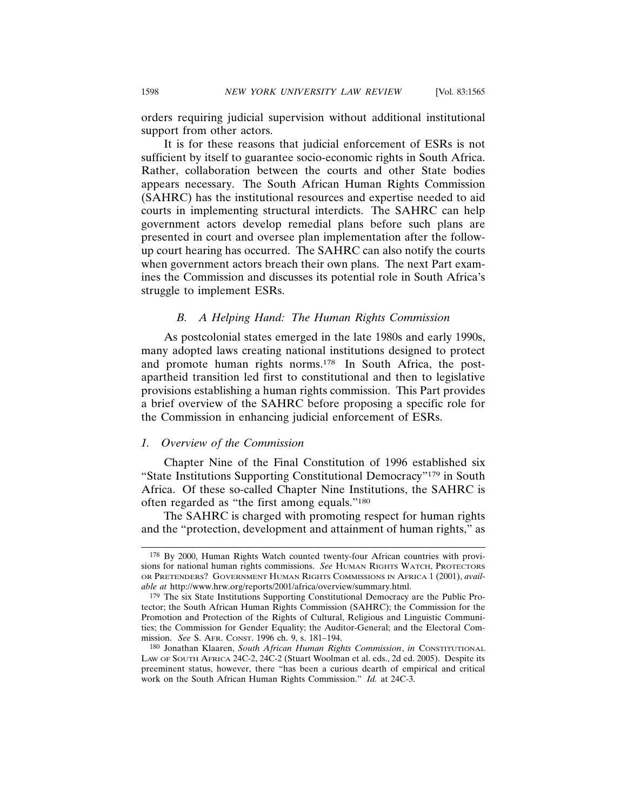orders requiring judicial supervision without additional institutional support from other actors.

It is for these reasons that judicial enforcement of ESRs is not sufficient by itself to guarantee socio-economic rights in South Africa. Rather, collaboration between the courts and other State bodies appears necessary. The South African Human Rights Commission (SAHRC) has the institutional resources and expertise needed to aid courts in implementing structural interdicts. The SAHRC can help government actors develop remedial plans before such plans are presented in court and oversee plan implementation after the followup court hearing has occurred. The SAHRC can also notify the courts when government actors breach their own plans. The next Part examines the Commission and discusses its potential role in South Africa's struggle to implement ESRs.

#### *B. A Helping Hand: The Human Rights Commission*

As postcolonial states emerged in the late 1980s and early 1990s, many adopted laws creating national institutions designed to protect and promote human rights norms.178 In South Africa, the postapartheid transition led first to constitutional and then to legislative provisions establishing a human rights commission. This Part provides a brief overview of the SAHRC before proposing a specific role for the Commission in enhancing judicial enforcement of ESRs.

# *1. Overview of the Commission*

Chapter Nine of the Final Constitution of 1996 established six "State Institutions Supporting Constitutional Democracy"179 in South Africa. Of these so-called Chapter Nine Institutions, the SAHRC is often regarded as "the first among equals."180

The SAHRC is charged with promoting respect for human rights and the "protection, development and attainment of human rights," as

<sup>178</sup> By 2000, Human Rights Watch counted twenty-four African countries with provisions for national human rights commissions. *See* HUMAN RIGHTS WATCH, PROTECTORS OR PRETENDERS? GOVERNMENT HUMAN RIGHTS COMMISSIONS IN AFRICA 1 (2001), *available at* http://www.hrw.org/reports/2001/africa/overview/summary.html.

<sup>179</sup> The six State Institutions Supporting Constitutional Democracy are the Public Protector; the South African Human Rights Commission (SAHRC); the Commission for the Promotion and Protection of the Rights of Cultural, Religious and Linguistic Communities; the Commission for Gender Equality; the Auditor-General; and the Electoral Commission. *See* S. AFR. CONST. 1996 ch. 9, s. 181–194.

<sup>180</sup> Jonathan Klaaren, *South African Human Rights Commission*, *in* CONSTITUTIONAL LAW OF SOUTH AFRICA 24C-2, 24C-2 (Stuart Woolman et al. eds., 2d ed. 2005). Despite its preeminent status, however, there "has been a curious dearth of empirical and critical work on the South African Human Rights Commission." *Id.* at 24C-3.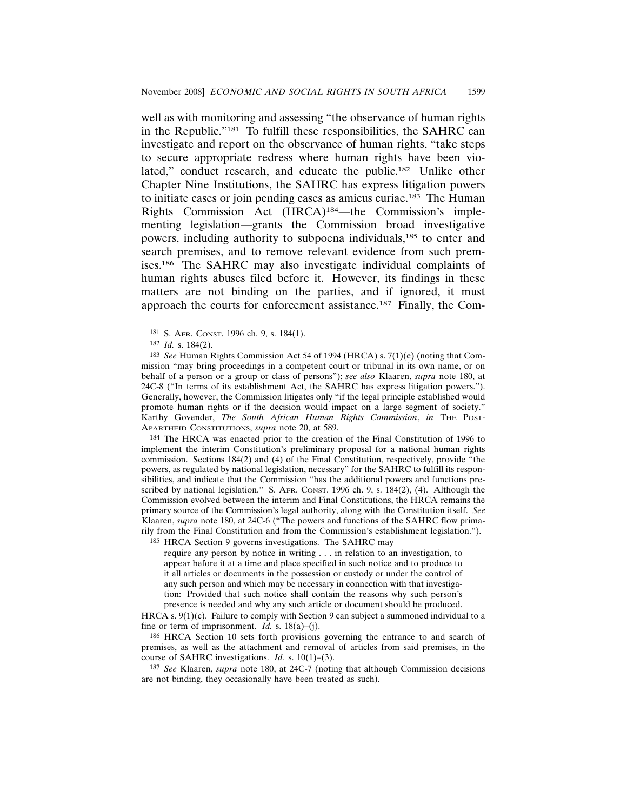well as with monitoring and assessing "the observance of human rights in the Republic."181 To fulfill these responsibilities, the SAHRC can investigate and report on the observance of human rights, "take steps to secure appropriate redress where human rights have been violated," conduct research, and educate the public.<sup>182</sup> Unlike other Chapter Nine Institutions, the SAHRC has express litigation powers to initiate cases or join pending cases as amicus curiae.183 The Human Rights Commission Act (HRCA)184—the Commission's implementing legislation—grants the Commission broad investigative powers, including authority to subpoena individuals,185 to enter and search premises, and to remove relevant evidence from such premises.186 The SAHRC may also investigate individual complaints of human rights abuses filed before it. However, its findings in these matters are not binding on the parties, and if ignored, it must approach the courts for enforcement assistance.187 Finally, the Com-

184 The HRCA was enacted prior to the creation of the Final Constitution of 1996 to implement the interim Constitution's preliminary proposal for a national human rights commission. Sections 184(2) and (4) of the Final Constitution, respectively, provide "the powers, as regulated by national legislation, necessary" for the SAHRC to fulfill its responsibilities, and indicate that the Commission "has the additional powers and functions prescribed by national legislation." S. AFR. CONST. 1996 ch. 9, s. 184(2), (4). Although the Commission evolved between the interim and Final Constitutions, the HRCA remains the primary source of the Commission's legal authority, along with the Constitution itself. *See* Klaaren, *supra* note 180, at 24C-6 ("The powers and functions of the SAHRC flow primarily from the Final Constitution and from the Commission's establishment legislation.").

185 HRCA Section 9 governs investigations. The SAHRC may

require any person by notice in writing . . . in relation to an investigation, to appear before it at a time and place specified in such notice and to produce to it all articles or documents in the possession or custody or under the control of any such person and which may be necessary in connection with that investigation: Provided that such notice shall contain the reasons why such person's presence is needed and why any such article or document should be produced.

HRCA s.  $9(1)(c)$ . Failure to comply with Section 9 can subject a summoned individual to a fine or term of imprisonment. *Id.* s. 18(a)–(j).

186 HRCA Section 10 sets forth provisions governing the entrance to and search of premises, as well as the attachment and removal of articles from said premises, in the course of SAHRC investigations. *Id.* s. 10(1)–(3).

187 *See* Klaaren, *supra* note 180, at 24C-7 (noting that although Commission decisions are not binding, they occasionally have been treated as such).

<sup>181</sup> S. AFR. CONST. 1996 ch. 9, s. 184(1).

<sup>182</sup> *Id.* s. 184(2).

<sup>183</sup> *See* Human Rights Commission Act 54 of 1994 (HRCA) s. 7(1)(e) (noting that Commission "may bring proceedings in a competent court or tribunal in its own name, or on behalf of a person or a group or class of persons"); *see also* Klaaren, *supra* note 180, at 24C-8 ("In terms of its establishment Act, the SAHRC has express litigation powers."). Generally, however, the Commission litigates only "if the legal principle established would promote human rights or if the decision would impact on a large segment of society." Karthy Govender, *The South African Human Rights Commission*, *in* THE POST-APARTHEID CONSTITUTIONS, *supra* note 20, at 589.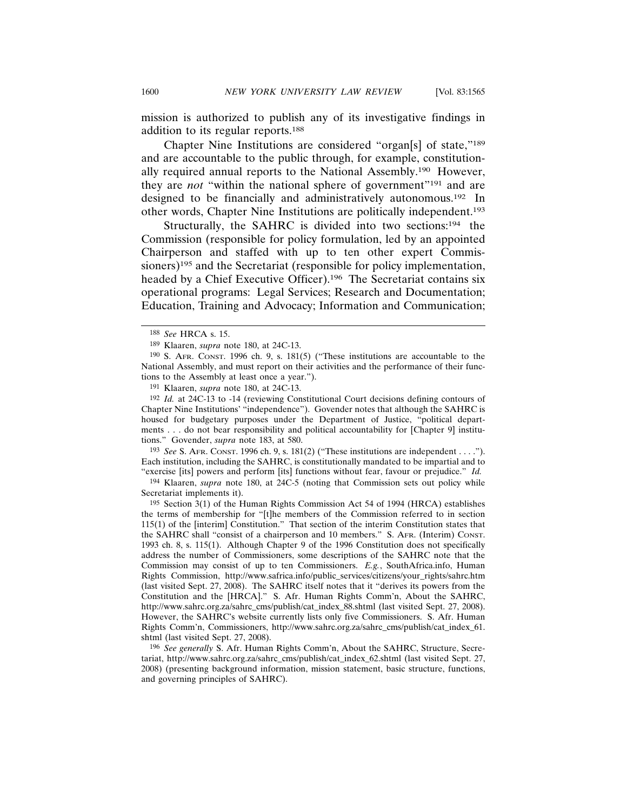mission is authorized to publish any of its investigative findings in addition to its regular reports.188

Chapter Nine Institutions are considered "organ[s] of state,"189 and are accountable to the public through, for example, constitutionally required annual reports to the National Assembly.190 However, they are *not* "within the national sphere of government"191 and are designed to be financially and administratively autonomous.192 In other words, Chapter Nine Institutions are politically independent.193

Structurally, the SAHRC is divided into two sections:<sup>194</sup> the Commission (responsible for policy formulation, led by an appointed Chairperson and staffed with up to ten other expert Commissioners)<sup>195</sup> and the Secretariat (responsible for policy implementation, headed by a Chief Executive Officer).<sup>196</sup> The Secretariat contains six operational programs: Legal Services; Research and Documentation; Education, Training and Advocacy; Information and Communication;

191 Klaaren, *supra* note 180, at 24C-13.

192 *Id.* at 24C-13 to -14 (reviewing Constitutional Court decisions defining contours of Chapter Nine Institutions' "independence"). Govender notes that although the SAHRC is housed for budgetary purposes under the Department of Justice, "political departments . . . do not bear responsibility and political accountability for [Chapter 9] institutions." Govender, *supra* note 183, at 580.

193 *See* S. AFR. CONST. 1996 ch. 9, s. 181(2) ("These institutions are independent . . . ."). Each institution, including the SAHRC, is constitutionally mandated to be impartial and to "exercise [its] powers and perform [its] functions without fear, favour or prejudice." *Id.*

194 Klaaren, *supra* note 180, at 24C-5 (noting that Commission sets out policy while Secretariat implements it).

195 Section 3(1) of the Human Rights Commission Act 54 of 1994 (HRCA) establishes the terms of membership for "[t]he members of the Commission referred to in section 115(1) of the [interim] Constitution." That section of the interim Constitution states that the SAHRC shall "consist of a chairperson and 10 members." S. AFR. (Interim) CONST. 1993 ch. 8, s. 115(1). Although Chapter 9 of the 1996 Constitution does not specifically address the number of Commissioners, some descriptions of the SAHRC note that the Commission may consist of up to ten Commissioners. *E.g.*, SouthAfrica.info, Human Rights Commission, http://www.safrica.info/public\_services/citizens/your\_rights/sahrc.htm (last visited Sept. 27, 2008). The SAHRC itself notes that it "derives its powers from the Constitution and the [HRCA]." S. Afr. Human Rights Comm'n, About the SAHRC, http://www.sahrc.org.za/sahrc\_cms/publish/cat\_index\_88.shtml (last visited Sept. 27, 2008). However, the SAHRC's website currently lists only five Commissioners. S. Afr. Human Rights Comm'n, Commissioners, http://www.sahrc.org.za/sahrc\_cms/publish/cat\_index\_61. shtml (last visited Sept. 27, 2008).

196 *See generally* S. Afr. Human Rights Comm'n, About the SAHRC, Structure, Secretariat, http://www.sahrc.org.za/sahrc\_cms/publish/cat\_index\_62.shtml (last visited Sept. 27, 2008) (presenting background information, mission statement, basic structure, functions, and governing principles of SAHRC).

<sup>188</sup> *See* HRCA s. 15.

<sup>189</sup> Klaaren, *supra* note 180, at 24C-13.

<sup>190</sup> S. AFR. CONST. 1996 ch. 9, s. 181(5) ("These institutions are accountable to the National Assembly, and must report on their activities and the performance of their functions to the Assembly at least once a year.").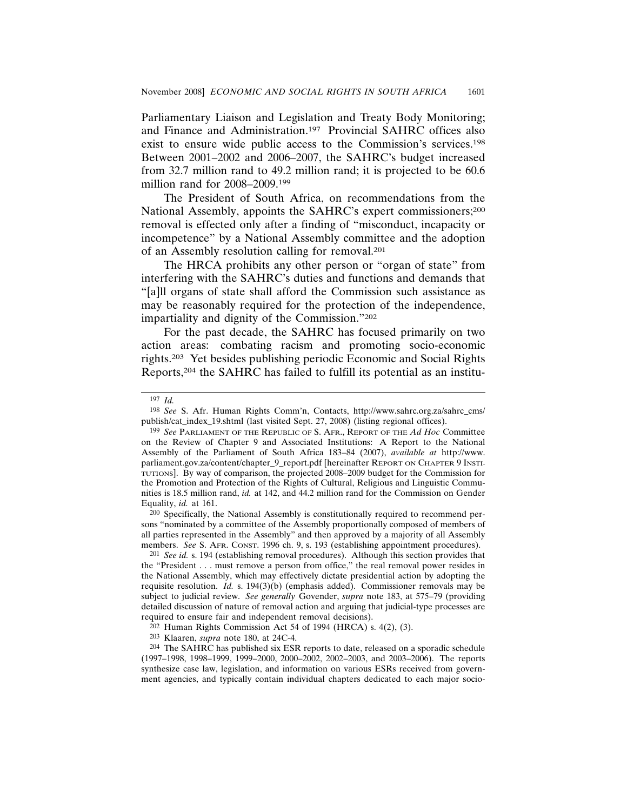Parliamentary Liaison and Legislation and Treaty Body Monitoring; and Finance and Administration.197 Provincial SAHRC offices also exist to ensure wide public access to the Commission's services.198 Between 2001–2002 and 2006–2007, the SAHRC's budget increased from 32.7 million rand to 49.2 million rand; it is projected to be 60.6 million rand for 2008–2009.199

The President of South Africa, on recommendations from the National Assembly, appoints the SAHRC's expert commissioners;200 removal is effected only after a finding of "misconduct, incapacity or incompetence" by a National Assembly committee and the adoption of an Assembly resolution calling for removal.201

The HRCA prohibits any other person or "organ of state" from interfering with the SAHRC's duties and functions and demands that "[a]ll organs of state shall afford the Commission such assistance as may be reasonably required for the protection of the independence, impartiality and dignity of the Commission."202

For the past decade, the SAHRC has focused primarily on two action areas: combating racism and promoting socio-economic rights.203 Yet besides publishing periodic Economic and Social Rights Reports,204 the SAHRC has failed to fulfill its potential as an institu-

200 Specifically, the National Assembly is constitutionally required to recommend persons "nominated by a committee of the Assembly proportionally composed of members of all parties represented in the Assembly" and then approved by a majority of all Assembly members. *See* S. AFR. CONST. 1996 ch. 9, s. 193 (establishing appointment procedures).

201 *See id.* s. 194 (establishing removal procedures). Although this section provides that the "President . . . must remove a person from office," the real removal power resides in the National Assembly, which may effectively dictate presidential action by adopting the requisite resolution. *Id.* s. 194(3)(b) (emphasis added). Commissioner removals may be subject to judicial review. *See generally* Govender, *supra* note 183, at 575–79 (providing detailed discussion of nature of removal action and arguing that judicial-type processes are required to ensure fair and independent removal decisions).

 $202$  Human Rights Commission Act 54 of 1994 (HRCA) s. 4(2), (3).

<sup>197</sup> *Id.*

<sup>198</sup> *See* S. Afr. Human Rights Comm'n, Contacts, http://www.sahrc.org.za/sahrc\_cms/ publish/cat\_index\_19.shtml (last visited Sept. 27, 2008) (listing regional offices).

<sup>199</sup> *See* PARLIAMENT OF THE REPUBLIC OF S. AFR., REPORT OF THE *Ad Hoc* Committee on the Review of Chapter 9 and Associated Institutions: A Report to the National Assembly of the Parliament of South Africa 183–84 (2007), *available at* http://www. parliament.gov.za/content/chapter\_9\_report.pdf [hereinafter REPORT ON CHAPTER 9 INSTI-TUTIONS]. By way of comparison, the projected 2008–2009 budget for the Commission for the Promotion and Protection of the Rights of Cultural, Religious and Linguistic Communities is 18.5 million rand, *id.* at 142, and 44.2 million rand for the Commission on Gender Equality, *id.* at 161.

<sup>203</sup> Klaaren, *supra* note 180, at 24C-4.

<sup>204</sup> The SAHRC has published six ESR reports to date, released on a sporadic schedule (1997–1998, 1998–1999, 1999–2000, 2000–2002, 2002–2003, and 2003–2006). The reports synthesize case law, legislation, and information on various ESRs received from government agencies, and typically contain individual chapters dedicated to each major socio-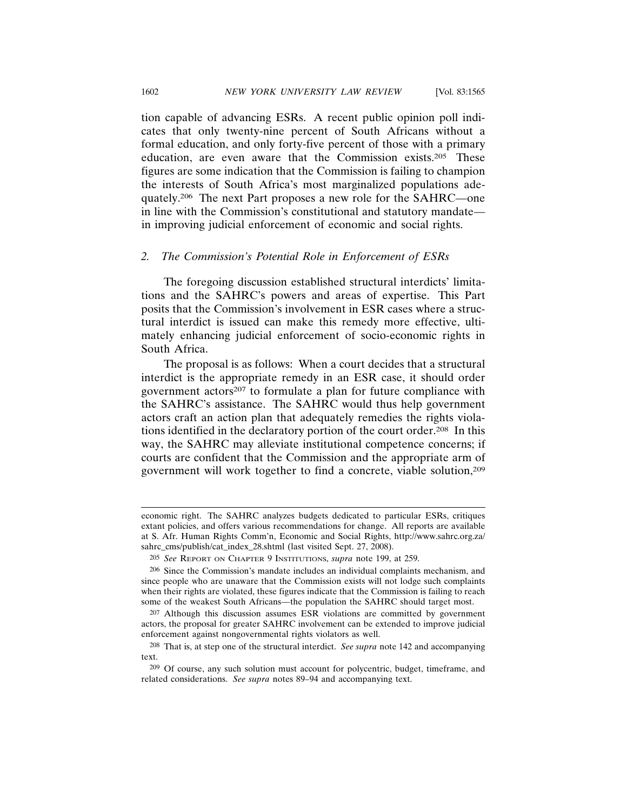tion capable of advancing ESRs. A recent public opinion poll indicates that only twenty-nine percent of South Africans without a formal education, and only forty-five percent of those with a primary education, are even aware that the Commission exists.205 These figures are some indication that the Commission is failing to champion the interests of South Africa's most marginalized populations adequately.206 The next Part proposes a new role for the SAHRC—one in line with the Commission's constitutional and statutory mandate in improving judicial enforcement of economic and social rights.

#### *2. The Commission's Potential Role in Enforcement of ESRs*

The foregoing discussion established structural interdicts' limitations and the SAHRC's powers and areas of expertise. This Part posits that the Commission's involvement in ESR cases where a structural interdict is issued can make this remedy more effective, ultimately enhancing judicial enforcement of socio-economic rights in South Africa.

The proposal is as follows: When a court decides that a structural interdict is the appropriate remedy in an ESR case, it should order government actors<sup>207</sup> to formulate a plan for future compliance with the SAHRC's assistance. The SAHRC would thus help government actors craft an action plan that adequately remedies the rights violations identified in the declaratory portion of the court order.208 In this way, the SAHRC may alleviate institutional competence concerns; if courts are confident that the Commission and the appropriate arm of government will work together to find a concrete, viable solution,209

economic right. The SAHRC analyzes budgets dedicated to particular ESRs, critiques extant policies, and offers various recommendations for change. All reports are available at S. Afr. Human Rights Comm'n, Economic and Social Rights, http://www.sahrc.org.za/ sahrc\_cms/publish/cat\_index\_28.shtml (last visited Sept. 27, 2008).

<sup>205</sup> *See* REPORT ON CHAPTER 9 INSTITUTIONS, *supra* note 199, at 259.

<sup>206</sup> Since the Commission's mandate includes an individual complaints mechanism, and since people who are unaware that the Commission exists will not lodge such complaints when their rights are violated, these figures indicate that the Commission is failing to reach some of the weakest South Africans—the population the SAHRC should target most.

<sup>207</sup> Although this discussion assumes ESR violations are committed by government actors, the proposal for greater SAHRC involvement can be extended to improve judicial enforcement against nongovernmental rights violators as well.

<sup>208</sup> That is, at step one of the structural interdict. *See supra* note 142 and accompanying text.

<sup>209</sup> Of course, any such solution must account for polycentric, budget, timeframe, and related considerations. *See supra* notes 89–94 and accompanying text.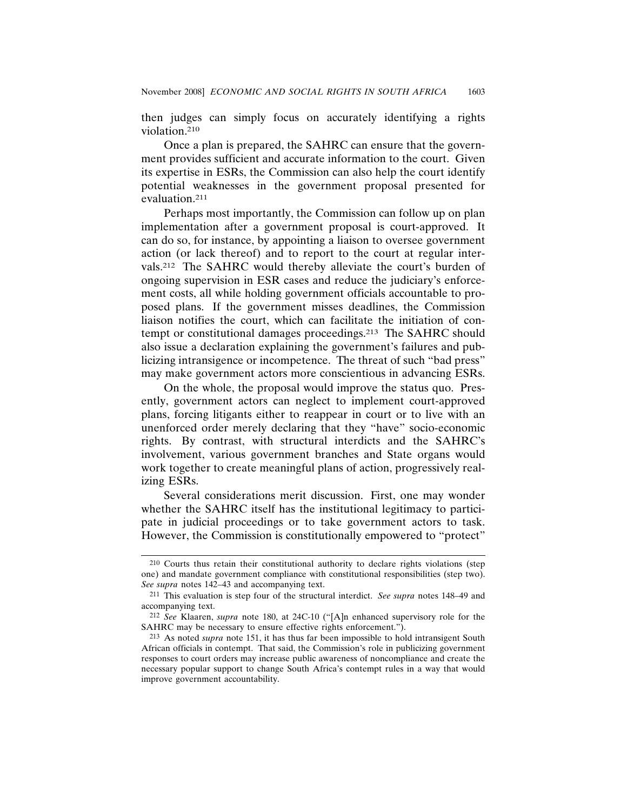then judges can simply focus on accurately identifying a rights violation.210

Once a plan is prepared, the SAHRC can ensure that the government provides sufficient and accurate information to the court. Given its expertise in ESRs, the Commission can also help the court identify potential weaknesses in the government proposal presented for evaluation.211

Perhaps most importantly, the Commission can follow up on plan implementation after a government proposal is court-approved. It can do so, for instance, by appointing a liaison to oversee government action (or lack thereof) and to report to the court at regular intervals.212 The SAHRC would thereby alleviate the court's burden of ongoing supervision in ESR cases and reduce the judiciary's enforcement costs, all while holding government officials accountable to proposed plans. If the government misses deadlines, the Commission liaison notifies the court, which can facilitate the initiation of contempt or constitutional damages proceedings.213 The SAHRC should also issue a declaration explaining the government's failures and publicizing intransigence or incompetence. The threat of such "bad press" may make government actors more conscientious in advancing ESRs.

On the whole, the proposal would improve the status quo. Presently, government actors can neglect to implement court-approved plans, forcing litigants either to reappear in court or to live with an unenforced order merely declaring that they "have" socio-economic rights. By contrast, with structural interdicts and the SAHRC's involvement, various government branches and State organs would work together to create meaningful plans of action, progressively realizing ESRs.

Several considerations merit discussion. First, one may wonder whether the SAHRC itself has the institutional legitimacy to participate in judicial proceedings or to take government actors to task. However, the Commission is constitutionally empowered to "protect"

<sup>210</sup> Courts thus retain their constitutional authority to declare rights violations (step one) and mandate government compliance with constitutional responsibilities (step two). *See supra* notes 142–43 and accompanying text.

<sup>211</sup> This evaluation is step four of the structural interdict. *See supra* notes 148–49 and accompanying text.

<sup>212</sup> *See* Klaaren, *supra* note 180, at 24C-10 ("[A]n enhanced supervisory role for the SAHRC may be necessary to ensure effective rights enforcement.").

<sup>213</sup> As noted *supra* note 151, it has thus far been impossible to hold intransigent South African officials in contempt. That said, the Commission's role in publicizing government responses to court orders may increase public awareness of noncompliance and create the necessary popular support to change South Africa's contempt rules in a way that would improve government accountability.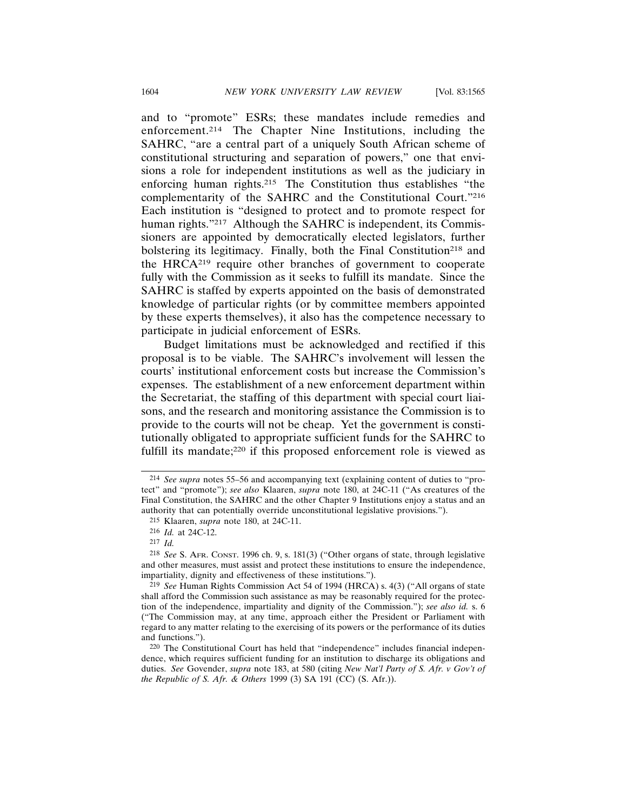and to "promote" ESRs; these mandates include remedies and enforcement.214 The Chapter Nine Institutions, including the SAHRC, "are a central part of a uniquely South African scheme of constitutional structuring and separation of powers," one that envisions a role for independent institutions as well as the judiciary in enforcing human rights.215 The Constitution thus establishes "the complementarity of the SAHRC and the Constitutional Court."216 Each institution is "designed to protect and to promote respect for human rights."<sup>217</sup> Although the SAHRC is independent, its Commissioners are appointed by democratically elected legislators, further bolstering its legitimacy. Finally, both the Final Constitution<sup>218</sup> and the HRCA219 require other branches of government to cooperate fully with the Commission as it seeks to fulfill its mandate. Since the SAHRC is staffed by experts appointed on the basis of demonstrated knowledge of particular rights (or by committee members appointed by these experts themselves), it also has the competence necessary to participate in judicial enforcement of ESRs.

Budget limitations must be acknowledged and rectified if this proposal is to be viable. The SAHRC's involvement will lessen the courts' institutional enforcement costs but increase the Commission's expenses. The establishment of a new enforcement department within the Secretariat, the staffing of this department with special court liaisons, and the research and monitoring assistance the Commission is to provide to the courts will not be cheap. Yet the government is constitutionally obligated to appropriate sufficient funds for the SAHRC to fulfill its mandate;<sup>220</sup> if this proposed enforcement role is viewed as

<sup>214</sup> *See supra* notes 55–56 and accompanying text (explaining content of duties to "protect" and "promote"); *see also* Klaaren, *supra* note 180, at 24C-11 ("As creatures of the Final Constitution, the SAHRC and the other Chapter 9 Institutions enjoy a status and an authority that can potentially override unconstitutional legislative provisions.").

<sup>215</sup> Klaaren, *supra* note 180, at 24C-11.

<sup>216</sup> *Id.* at 24C-12.

<sup>217</sup> *Id.*

<sup>218</sup> *See* S. AFR. CONST. 1996 ch. 9, s. 181(3) ("Other organs of state, through legislative and other measures, must assist and protect these institutions to ensure the independence, impartiality, dignity and effectiveness of these institutions.").

<sup>219</sup> *See* Human Rights Commission Act 54 of 1994 (HRCA) s. 4(3) ("All organs of state shall afford the Commission such assistance as may be reasonably required for the protection of the independence, impartiality and dignity of the Commission."); *see also id.* s. 6 ("The Commission may, at any time, approach either the President or Parliament with regard to any matter relating to the exercising of its powers or the performance of its duties and functions.").

<sup>220</sup> The Constitutional Court has held that "independence" includes financial independence, which requires sufficient funding for an institution to discharge its obligations and duties. *See* Govender, *supra* note 183, at 580 (citing *New Nat'l Party of S. Afr. v Gov't of the Republic of S. Afr. & Others* 1999 (3) SA 191 (CC) (S. Afr.)).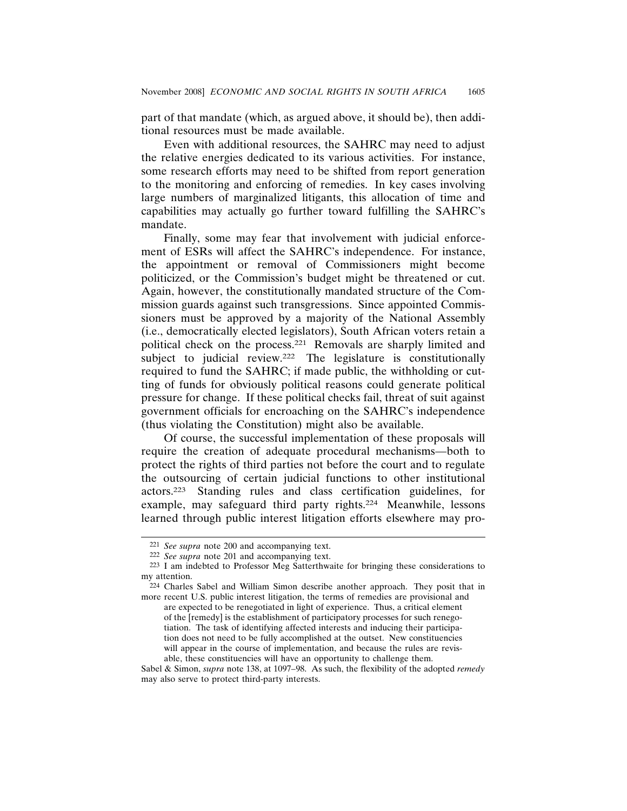part of that mandate (which, as argued above, it should be), then additional resources must be made available.

Even with additional resources, the SAHRC may need to adjust the relative energies dedicated to its various activities. For instance, some research efforts may need to be shifted from report generation to the monitoring and enforcing of remedies. In key cases involving large numbers of marginalized litigants, this allocation of time and capabilities may actually go further toward fulfilling the SAHRC's mandate.

Finally, some may fear that involvement with judicial enforcement of ESRs will affect the SAHRC's independence. For instance, the appointment or removal of Commissioners might become politicized, or the Commission's budget might be threatened or cut. Again, however, the constitutionally mandated structure of the Commission guards against such transgressions. Since appointed Commissioners must be approved by a majority of the National Assembly (i.e., democratically elected legislators), South African voters retain a political check on the process.221 Removals are sharply limited and subject to judicial review.<sup>222</sup> The legislature is constitutionally required to fund the SAHRC; if made public, the withholding or cutting of funds for obviously political reasons could generate political pressure for change. If these political checks fail, threat of suit against government officials for encroaching on the SAHRC's independence (thus violating the Constitution) might also be available.

Of course, the successful implementation of these proposals will require the creation of adequate procedural mechanisms—both to protect the rights of third parties not before the court and to regulate the outsourcing of certain judicial functions to other institutional actors.223 Standing rules and class certification guidelines, for example, may safeguard third party rights.224 Meanwhile, lessons learned through public interest litigation efforts elsewhere may pro-

<sup>221</sup> *See supra* note 200 and accompanying text.

<sup>222</sup> *See supra* note 201 and accompanying text.

<sup>223</sup> I am indebted to Professor Meg Satterthwaite for bringing these considerations to my attention.

<sup>&</sup>lt;sup>224</sup> Charles Sabel and William Simon describe another approach. They posit that in more recent U.S. public interest litigation, the terms of remedies are provisional and

are expected to be renegotiated in light of experience. Thus, a critical element of the [remedy] is the establishment of participatory processes for such renegotiation. The task of identifying affected interests and inducing their participation does not need to be fully accomplished at the outset. New constituencies will appear in the course of implementation, and because the rules are revisable, these constituencies will have an opportunity to challenge them.

Sabel & Simon, *supra* note 138, at 1097–98. As such, the flexibility of the adopted *remedy* may also serve to protect third-party interests.